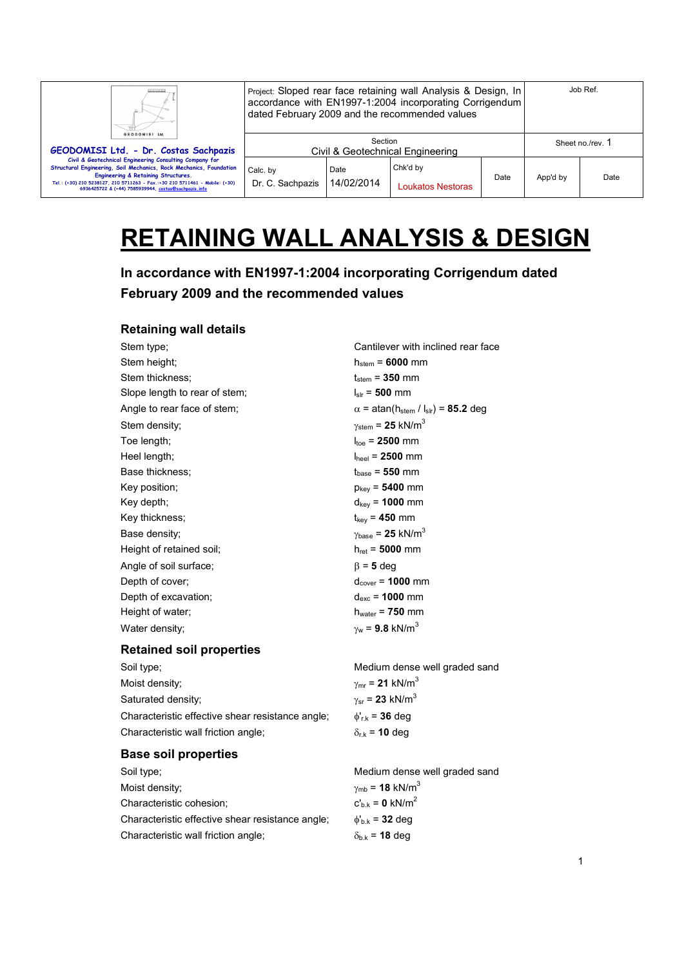| GEODOMISI Ltd.                                                                                                                                                                                                                                                                                              | Job Ref.<br>Project: Sloped rear face retaining wall Analysis & Design, In<br>accordance with EN1997-1:2004 incorporating Corrigendum<br>dated February 2009 and the recommended values |                    |                               |      |                  |      |
|-------------------------------------------------------------------------------------------------------------------------------------------------------------------------------------------------------------------------------------------------------------------------------------------------------------|-----------------------------------------------------------------------------------------------------------------------------------------------------------------------------------------|--------------------|-------------------------------|------|------------------|------|
| GEODOMISI Ltd. - Dr. Costas Sachpazis                                                                                                                                                                                                                                                                       | Section<br>Civil & Geotechnical Engineering                                                                                                                                             |                    |                               |      | Sheet no./rev. 1 |      |
| Civil & Geotechnical Engineering Consulting Company for<br>Structural Engineering, Soil Mechanics, Rock Mechanics, Foundation<br>Engineering & Retaining Structures.<br>Tel.: (+30) 210 5238127, 210 5711263 - Fax.:+30 210 5711461 - Mobile: (+30)<br>6936425722 & (+44) 7585939944, costas@sachpazis.info | Calc. by<br>Dr. C. Sachpazis                                                                                                                                                            | Date<br>14/02/2014 | Chk'd by<br>Loukatos Nestoras | Date | App'd by         | Date |

# **RETAINING WALL ANALYSIS & DESIGN**

**In accordance with EN1997-1:2004 incorporating Corrigendum dated February 2009 and the recommended values** 

# **Retaining wall details**

| Stem type;                    | Cantilever with inclined rear face                                       |
|-------------------------------|--------------------------------------------------------------------------|
| Stem height;                  | $h_{stem} = 6000$ mm                                                     |
| Stem thickness;               | $t_{stem}$ = 350 mm                                                      |
| Slope length to rear of stem; | $I_{\text{str}}$ = 500 mm                                                |
| Angle to rear face of stem;   | $\alpha$ = atan(h <sub>stem</sub> / l <sub>slr</sub> ) = <b>85.2</b> deg |
| Stem density;                 | $\gamma_{\text{stem}}$ = 25 kN/m <sup>3</sup>                            |
| Toe length;                   | $I_{\text{toe}} = 2500$ mm                                               |
| Heel length;                  | $I_{\text{heel}}$ = 2500 mm                                              |
| Base thickness:               | $t_{base} = 550$ mm                                                      |
| Key position;                 | $p_{\text{kev}} = 5400 \text{ mm}$                                       |
| Key depth;                    | $d_{\text{kev}}$ = 1000 mm                                               |
| Key thickness;                | $t_{\rm kev}$ = 450 mm                                                   |
| Base density;                 | $\gamma_{\text{base}}$ = 25 kN/m <sup>3</sup>                            |
| Height of retained soil;      | $h_{\text{ret}} = 5000 \text{ mm}$                                       |
| Angle of soil surface;        | $\beta$ = 5 deg                                                          |
| Depth of cover;               | $d_{cover}$ = 1000 mm                                                    |
| Depth of excavation;          | $d_{exc}$ = 1000 mm                                                      |
| Height of water;              | $h_{water}$ = 750 mm                                                     |
| Water density;                | $\gamma_{w}$ = 9.8 kN/m <sup>3</sup>                                     |

## **Retained soil properties**

Soil type; example a set of the Medium dense well graded sand Moist density;  $\gamma_{\text{mr}} = 21 \text{ kN/m}^3$ Saturated density;  $\gamma_{\rm sr} = 23 \text{ kN/m}^3$ Characteristic effective shear resistance angle; φ'r.k = **36** deg Characteristic wall friction angle;  $\delta_{r.k}$  = **10** deg

## **Base soil properties**

| Soil type;                                       | Medium dense well graded sand            |
|--------------------------------------------------|------------------------------------------|
| Moist density:                                   | $\gamma_{\rm mb}$ = 18 kN/m <sup>3</sup> |
| Characteristic cohesion;                         | $c'_{h,k} = 0$ kN/m <sup>2</sup>         |
| Characteristic effective shear resistance angle; | $\phi_{h,k}$ = 32 deg                    |
| Characteristic wall friction angle;              | $\delta_{h,k}$ = 18 deg                  |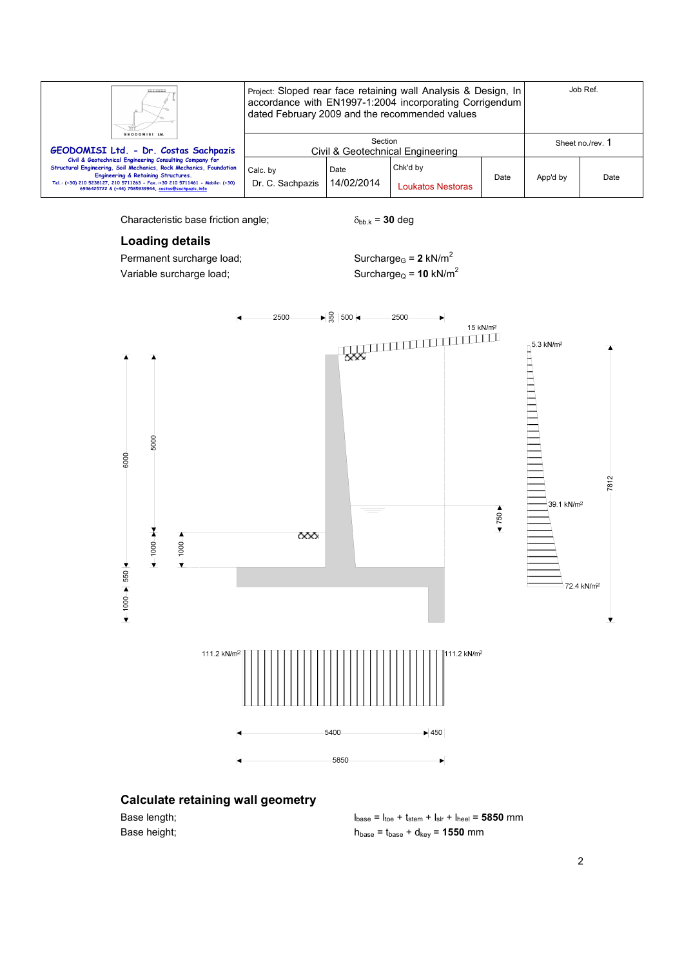| GEODOMISI Ltd.                                                                                                                                                                                                                                                                                              | Project: Sloped rear face retaining wall Analysis & Design, In<br>accordance with EN1997-1:2004 incorporating Corrigendum<br>dated February 2009 and the recommended values |                    |                               | Job Ref. |                  |      |
|-------------------------------------------------------------------------------------------------------------------------------------------------------------------------------------------------------------------------------------------------------------------------------------------------------------|-----------------------------------------------------------------------------------------------------------------------------------------------------------------------------|--------------------|-------------------------------|----------|------------------|------|
| GEODOMISI Ltd. - Dr. Costas Sachpazis                                                                                                                                                                                                                                                                       | Section<br>Civil & Geotechnical Engineering                                                                                                                                 |                    |                               |          | Sheet no./rev. 1 |      |
| Civil & Geotechnical Engineering Consulting Company for<br>Structural Engineering, Soil Mechanics, Rock Mechanics, Foundation<br>Engineering & Retaining Structures.<br>Tel.: (+30) 210 5238127, 210 5711263 - Fax.:+30 210 5711461 - Mobile: (+30)<br>6936425722 & (+44) 7585939944, costas@sachpazis.info | Calc. by<br>Dr. C. Sachpazis                                                                                                                                                | Date<br>14/02/2014 | Chk'd by<br>Loukatos Nestoras | Date     | App'd by         | Date |

Characteristic base friction angle;  $\delta_{bb \, k} = 30 \text{ deg}$ 

# **Loading details**

Permanent surcharge load;  $\text{Surcharge}_G = 2 \text{ kN/m}^2$ Variable surcharge load;  $V = 5$  Surcharge $Q = 10$  kN/m<sup>2</sup>



# **Calculate retaining wall geometry**

Base length;  $l_{base} = l_{toe} + t_{stem} + l_{slr} + l_{heel} = 5850$  mm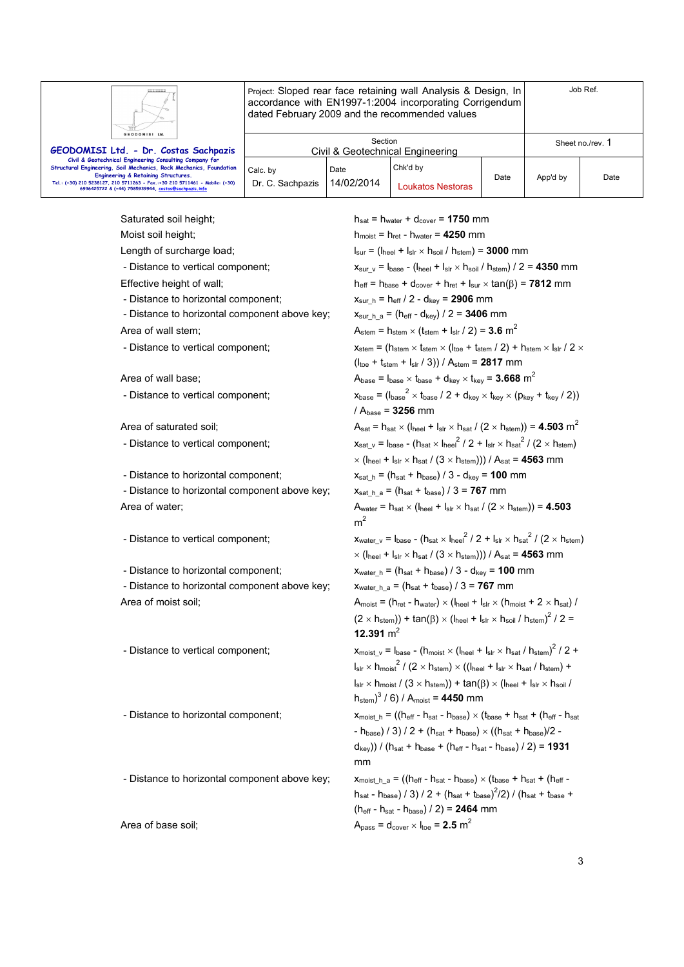

Project: Sloped rear face retaining wall Analysis & Design, In accordance with EN1997-1:2004 incorporating Corrigendum dated February 2009 and the recommended values

| GEODOMISI Ltd.                                                                                                                                                                                                                                                                                                     |                                             |                    |                                      |      |                  |      |
|--------------------------------------------------------------------------------------------------------------------------------------------------------------------------------------------------------------------------------------------------------------------------------------------------------------------|---------------------------------------------|--------------------|--------------------------------------|------|------------------|------|
| GEODOMISI Ltd. - Dr. Costas Sachpazis                                                                                                                                                                                                                                                                              | Section<br>Civil & Geotechnical Engineering |                    |                                      |      | Sheet no./rev. 1 |      |
| Civil & Geotechnical Engineering Consulting Company for<br><b>Structural Engineering, Soil Mechanics, Rock Mechanics, Foundation</b><br>Engineering & Retaining Structures.<br>Tel.: (+30) 210 5238127, 210 5711263 - Fax.:+30 210 5711461 - Mobile: (+30)<br>6936425722 & (+44) 7585939944, costas@sachpazis.info | Calc. by<br>Dr. C. Sachpazis                | Date<br>14/02/2014 | Chk'd by<br><b>Loukatos Nestoras</b> | Date | App'd by         | Date |

- 
- 
- Distance to horizontal component;  $x_{\text{sur } h} = h_{\text{eff}} / 2 d_{\text{key}} = 2906$  mm
- 
- 
- 

- Distance to vertical component;

- Distance to vertical component;

- Distance to horizontal component above key;  $x_{sat-h,a} = (h_{sat} + t_{base}) / 3 = 767$  mm

- Distance to vertical component;

- Distance to horizontal component above key;  $x_{water h a} = (h_{sat} + t_{base}) / 3 = 767$  mm

Saturated soil height; hsat = h<sub>water</sub> + d<sub>cover</sub> = **1750** mm Moist soil height; https://www.hmoist = h<sub>ret</sub> - h<sub>water</sub> = **4250** mm Length of surcharge load;  $l_{\text{sur}} = (l_{\text{heel}} + l_{\text{slr}} \times h_{\text{sol}} / h_{\text{stem}}) = 3000 \text{ mm}$ - Distance to vertical component;  $x_{\text{sur v}} = I_{\text{base}} - (I_{\text{heel}} + I_{\text{sr}} \times I_{\text{soil}} / I_{\text{stem}}) / 2 = 4350 \text{ mm}$ Effective height of wall; here the heaven + h<sub>eff</sub> = h<sub>base</sub> + d<sub>cover</sub> + h<sub>ret</sub> + l<sub>sur</sub> × tan( $\beta$ ) = **7812** mm - Distance to horizontal component above key;  $x_{sur_h} = (h_{eff} - d_{key}) / 2 = 3406$  mm Area of wall stem;  $A_{\text{stem}} = h_{\text{stem}} \times (t_{\text{stem}} + l_{\text{slr}} / 2) = 3.6 \text{ m}^2$ - Distance to vertical component:  $x_{\text{stem}} = (h_{\text{stem}} \times (h_{\text{ref}} + h_{\text{stem}} / 2) + h_{\text{stem}} \times (h_{\text{ref}} / 2 \times h_{\text{ref}} / 2 \times h_{\text{ref}} / 2 \times h_{\text{ref}} / 2 \times h_{\text{ref}} / 2 \times h_{\text{ref}} / 2 \times h_{\text{ref}} / 2 \times h_{\text{ref}} / 2 \times h_{\text{ref}} / 2 \times h_{\text{ref}} / 2 \times h_{\text{ref}} / 2 \times h_{\text{$ (ltoe + tstem + lslr / 3)) / Astem = **2817** mm Area of wall base;  $A_{\text{base}} = I_{\text{base}} \times I_{\text{base}} + d_{\text{key}} \times I_{\text{key}} = 3.668 \text{ m}^2$  $e^2 \times t_{\text{base}}$  / 2 +  $d_{\text{key}} \times t_{\text{key}} \times (p_{\text{key}} + t_{\text{key}}$  / 2)) / Abase = **3256** mm Area of saturated soil;  $A_{\text{sat}} = h_{\text{sat}} \times (h_{\text{neel}} + I_{\text{str}} \times h_{\text{sat}} / (2 \times h_{\text{stem}})) = 4.503 \text{ m}^2$  $^{2}/2 + I_{\text{slr}} \times h_{\text{sat}}^{2}/(2 \times h_{\text{stem}})$  $\times$  ( $I_{\text{heel}} + I_{\text{slr}} \times h_{\text{sat}} / (3 \times h_{\text{stem}})) / A_{\text{sat}} = 4563$  mm - Distance to horizontal component;  $x_{sat-h} = (h_{sat} + h_{base}) / 3 - d_{key} = 100$  mm Area of water;  $A_{\text{water}} = h_{\text{sat}} \times (l_{\text{heel}} + l_{\text{str}} \times h_{\text{sat}} / (2 \times h_{\text{stem}})) = 4.503$  $m<sup>2</sup>$  $2^{2}/2 + I_{\text{slr}} \times h_{\text{sat}}^{2}/(2 \times h_{\text{stem}})$  $\times$  (I<sub>heel</sub> + I<sub>slr</sub>  $\times$  h<sub>sat</sub> / (3  $\times$  h<sub>stem</sub>))) / A<sub>sat</sub> = **4563** mm - Distance to horizontal component;  $x_{water h} = (h_{sat} + h_{base}) / 3 - d_{key} = 100$  mm Area of moist soil;  $A_{\text{moist}} = (h_{\text{ret}} - h_{\text{water}}) \times (h_{\text{neel}} + I_{\text{slr}} \times (h_{\text{moist}} + 2 \times h_{\text{sat}}))$  $(2 \times h_{stem})$  + tan $(\beta) \times (h_{neel} + I_{slr} \times h_{soil} / h_{stem})^2 / 2 =$ **12.391**  $m^2$ - Distance to vertical component;  $x_{\text{moist}_y} = I_{\text{base}} - (h_{\text{moist}} \times (I_{\text{heel}} + I_{\text{slr}} \times I_{\text{sat}} / I_{\text{stem}})^2 / 2 +$  $I_{\text{slr}} \times h_{\text{moist}}^2$  / (2  $\times h_{\text{stem}}$ )  $\times$  (( $I_{\text{heel}} + I_{\text{slr}} \times h_{\text{sat}}$  /  $h_{\text{stem}}$ ) +  $I_{\text{slr}} \times h_{\text{moist}}$  /  $(3 \times h_{\text{stem}})$ ) + tan $(\beta) \times (I_{\text{heel}} + I_{\text{slr}} \times h_{\text{soil}})$ hstem) 3 / 6) / Amoist = **4450** mm - Distance to horizontal component;  $x_{\text{moist } h} = ((h_{\text{eff}} - h_{\text{sat}} - h_{\text{base}}) \times (t_{\text{base}} + h_{\text{sat}} + (h_{\text{eff}} - h_{\text{sat}}))$  $-h_{\text{base}}$ ) / 3) / 2 + (hsat + hbase)  $\times$  ((hsat + hbase)/2 - $(d_{key})$ ) / ( $h_{sat} + h_{base} + (h_{eff} - h_{sat} - h_{base})$  / 2) = **1931** mm - Distance to horizontal component above key;  $x_{\text{moist }h} = ((h_{\text{eff }} - h_{\text{sat }} - h_{\text{base}}) \times (t_{\text{base }} + h_{\text{sat }} + (h_{\text{eff }} - h_{\text{base}}))$  $h_{\text{sat}} - h_{\text{base}}$ ) / 3) / 2 +  $(h_{\text{sat}} + t_{\text{base}})^2/2$ ) /  $(h_{\text{sat}} + t_{\text{base}} +$ (heff - hsat - hbase) / 2) = **2464** mm

Area of base soil;  $A_{\text{pass}} = d_{\text{cover}} \times I_{\text{top}} = 2.5 \text{ m}^2$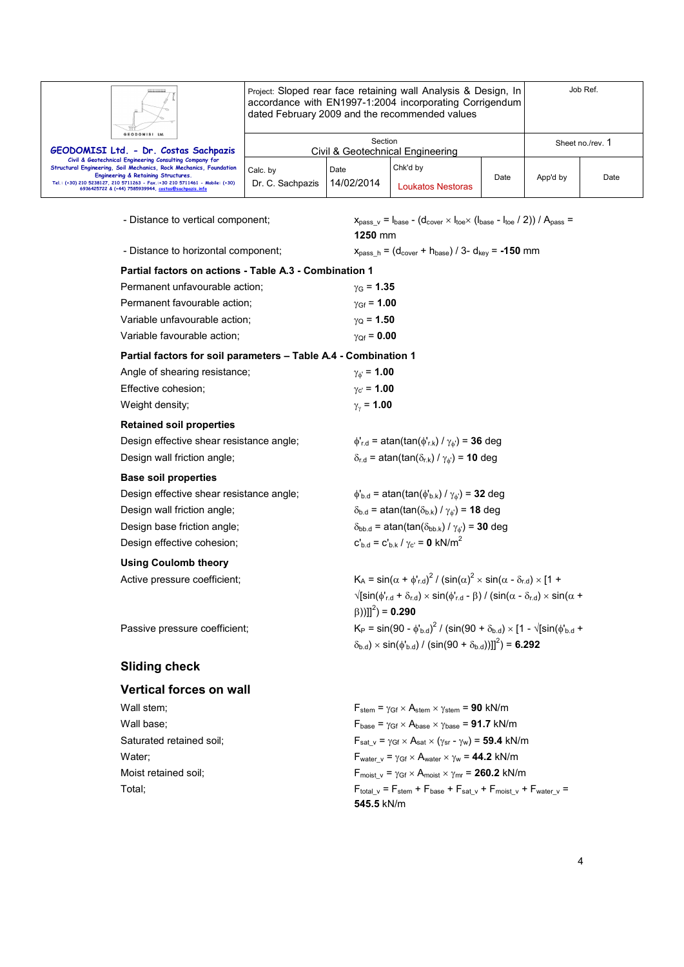| GEODOMISI Ltd. |  |
|----------------|--|

Project: Sloped rear face retaining wall Analysis & Design, In accordance with EN1997-1:2004 incorporating Corrigendum dated February 2009 and the recommended values

| <b>Grand</b>                                                                                                                                                                                                                                                                                                |                              |                    |                                  |      |          |                  |
|-------------------------------------------------------------------------------------------------------------------------------------------------------------------------------------------------------------------------------------------------------------------------------------------------------------|------------------------------|--------------------|----------------------------------|------|----------|------------------|
| GEODOMISI Ltd.                                                                                                                                                                                                                                                                                              |                              | Section            |                                  |      |          | Sheet no./rev. 1 |
| GEODOMISI Ltd. - Dr. Costas Sachpazis                                                                                                                                                                                                                                                                       |                              |                    | Civil & Geotechnical Engineering |      |          |                  |
| Civil & Geotechnical Engineering Consulting Company for<br>Structural Engineering, Soil Mechanics, Rock Mechanics, Foundation<br>Engineering & Retaining Structures.<br>Tel.: (+30) 210 5238127, 210 5711263 - Fax.:+30 210 5711461 - Mobile: (+30)<br>6936425722 & (+44) 7585939944, costas@sachpazis.info | Calc. by<br>Dr. C. Sachpazis | Date<br>14/02/2014 | Chk'd by<br>Loukatos Nestoras    | Date | App'd by | Date             |

- Distance to vertical component;  $x_{pass_v} = I_{base} - (d_{cover} \times I_{toe} \times (I_{base} - I_{toe} / 2)) / A_{pass} =$ 

|                                                                 | 1250 mm                                                                                                                              |
|-----------------------------------------------------------------|--------------------------------------------------------------------------------------------------------------------------------------|
| - Distance to horizontal component;                             | $x_{pass_h} = (d_{cover} + h_{base}) / 3 - d_{key} = -150$ mm                                                                        |
| Partial factors on actions - Table A.3 - Combination 1          |                                                                                                                                      |
| Permanent unfavourable action;                                  | $\gamma$ <sub>G</sub> = 1.35                                                                                                         |
| Permanent favourable action;                                    | $\gamma_{\text{Gf}} = 1.00$                                                                                                          |
| Variable unfavourable action;                                   | $\gamma_{\rm Q}$ = 1.50                                                                                                              |
| Variable favourable action;                                     | $\gamma_{Qf} = 0.00$                                                                                                                 |
| Partial factors for soil parameters - Table A.4 - Combination 1 |                                                                                                                                      |
| Angle of shearing resistance;                                   | $\gamma_{\phi} = 1.00$                                                                                                               |
| Effective cohesion;                                             | $\gamma_{c'} = 1.00$                                                                                                                 |
| Weight density;                                                 | $\gamma_{\nu}$ = 1.00                                                                                                                |
| <b>Retained soil properties</b>                                 |                                                                                                                                      |
| Design effective shear resistance angle;                        | $\phi'_{r.d}$ = atan(tan( $\phi'_{r.k}$ ) / $\gamma_{\phi'}$ ) = 36 deg                                                              |
| Design wall friction angle;                                     | $\delta_{r.d}$ = atan(tan( $\delta_{r.k}$ ) / $\gamma_{\phi}$ ) = 10 deg                                                             |
| <b>Base soil properties</b>                                     |                                                                                                                                      |
| Design effective shear resistance angle;                        | $\phi_{\rm b.d}$ = atan(tan( $\phi_{\rm b.k}$ ) / $\gamma_{\phi}$ ) = 32 deg                                                         |
| Design wall friction angle;                                     | $\delta_{b.d}$ = atan(tan( $\delta_{b.k}$ ) / $\gamma_{\phi}$ ) = 18 deg                                                             |
| Design base friction angle;                                     | $\delta_{\text{bb.d}}$ = atan(tan( $\delta_{\text{bb.k}}$ ) / $\gamma_\phi$ ) = 30 deg                                               |
| Design effective cohesion;                                      | $c'_{b,d} = c'_{b,k} / \gamma_{c'} = 0$ kN/m <sup>2</sup>                                                                            |
| <b>Using Coulomb theory</b>                                     |                                                                                                                                      |
| Active pressure coefficient;                                    | $K_A = \sin(\alpha + \phi'_{\text{rd}})^2 / (\sin(\alpha)^2 \times \sin(\alpha - \delta_{\text{rd}}) \times [1 +$                    |
|                                                                 | $\sqrt{\sin(\phi_{r,d} + \delta_{r,d})} \times \sin(\phi_{r,d} - \beta) / (\sin(\alpha - \delta_{r,d}) \times \sin(\alpha + \beta))$ |
|                                                                 | $(\beta))$ ]] <sup>2</sup> ) = <b>0.290</b>                                                                                          |
| Passive pressure coefficient;                                   | $K_P = \sin(90 - \phi_{b,d})^2 / (\sin(90 + \delta_{b,d}) \times [1 - \sqrt{\sin(\phi_{b,d} + \phi_{b,d})}]$                         |
|                                                                 | $(\delta_{b,d}) \times \sin(\phi_{b,d}) / (\sin(90 + \delta_{b,d}))]]^2$ = 6.292                                                     |
| <b>Sliding check</b>                                            |                                                                                                                                      |
|                                                                 |                                                                                                                                      |

**Vertical forces on wall**  Wall stem;  $V = V_{\text{Stem}} = \gamma_{\text{Gf}} \times A_{\text{stem}} \times \gamma_{\text{stem}} = 90 \text{ kN/m}$ Wall base;  $F_{\text{base}} = \gamma_{\text{Gf}} \times A_{\text{base}} \times \gamma_{\text{base}} = 91.7 \text{ kN/m}$ Saturated retained soil;  $F_{sat_v} = \gamma_{Gf} \times A_{sat} \times (\gamma_{sr} - \gamma_w) =$  **59.4** kN/m Water;  $\mathsf{F}_{\text{water v}} = \gamma_{\text{Gf}} \times \mathsf{A}_{\text{water}} \times \gamma_{\text{w}} = 44.2 \text{ kN/m}$ Moist retained soil;  $F_{\text{moist } v} = \gamma_{\text{Gf}} \times A_{\text{moist}} \times \gamma_{\text{mr}} = 260.2 \text{ kN/m}$ Total;  $F_{total\_v} = F_{stem} + F_{base} + F_{sat\_v} + F_{moist\_v} + F_{water\_v} =$ **545.5** kN/m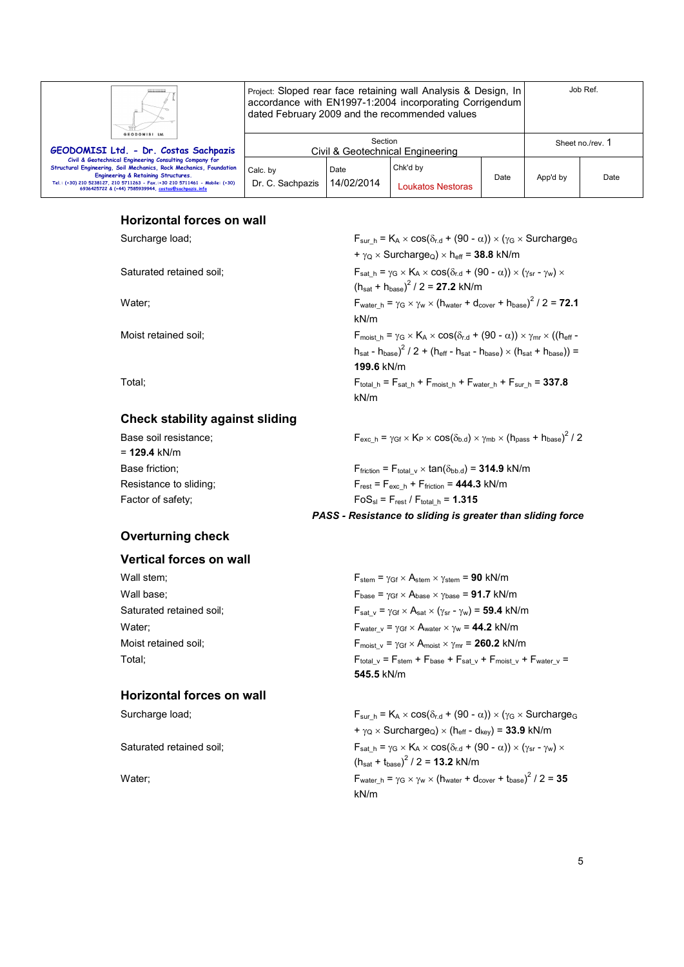| Ш<br>GEODOMISI Ltd.                                                                                                                                                                                                                                                                                         | Project: Sloped rear face retaining wall Analysis & Design, In<br>accordance with EN1997-1:2004 incorporating Corrigendum<br>dated February 2009 and the recommended values |                    |                               | Job Ref. |                  |      |
|-------------------------------------------------------------------------------------------------------------------------------------------------------------------------------------------------------------------------------------------------------------------------------------------------------------|-----------------------------------------------------------------------------------------------------------------------------------------------------------------------------|--------------------|-------------------------------|----------|------------------|------|
| GEODOMISI Ltd. - Dr. Costas Sachpazis                                                                                                                                                                                                                                                                       | Section<br>Civil & Geotechnical Engineering                                                                                                                                 |                    |                               |          | Sheet no./rev. 1 |      |
| Civil & Geotechnical Engineering Consulting Company for<br>Structural Engineering, Soil Mechanics, Rock Mechanics, Foundation<br>Engineering & Retaining Structures.<br>Tel.: (+30) 210 5238127, 210 5711263 - Fax.:+30 210 5711461 - Mobile: (+30)<br>6936425722 & (+44) 7585939944, costas@sachpazis.info | Calc. by<br>Dr. C. Sachpazis                                                                                                                                                | Date<br>14/02/2014 | Chk'd by<br>Loukatos Nestoras | Date     | App'd by         | Date |

# **Horizontal forces on wall**

Surcharge load; F<sub>sur\_h</sub> = K<sub>A</sub> × cos( $\delta_{r.d}$  + (90 -  $\alpha$ )) × ( $\gamma$ <sub>G</sub> × Surcharge<sub>G</sub>

Saturated retained soil; Fsat h =  $\gamma_G \times K_A \times \cos(\delta_{rd} + (90 - \alpha)) \times (\gamma_{sr} - \gamma_w) \times$ 

Water;  $\mathsf{F}_{\mathsf{water\_h}} = \gamma_{\mathsf{G}} \times \gamma_{\mathsf{w}} \times (\mathsf{h}_{\mathsf{water}} + \mathsf{d}_{\mathsf{cover}} + \mathsf{h}_{\mathsf{base}})^2 / 2 = 72.1$ 

Moist retained soil; Fmoist h =  $\gamma$ G × KA × cos( $\delta_{rd}$  + (90 - α)) ×  $\gamma_{mr}$  × ((heff -

Total;  $F_{total_h} = F_{sat_h} + F_{most_h} + F_{water_h} + F_{sur_h} = 337.8$ 

# **Check stability against sliding**

| Base soil resistance;  | $F_{\text{exc h}} = \gamma_{\text{Gf}} \times K_{\text{P}} \times \cos(\delta_{\text{b.d}}) \times \gamma_{\text{mb}} \times (h_{\text{pass}} + h_{\text{base}})^2 / 2$ |
|------------------------|-------------------------------------------------------------------------------------------------------------------------------------------------------------------------|
| $= 129.4$ kN/m         |                                                                                                                                                                         |
| Base friction:         | $F_{\text{friction}} = F_{\text{total v}} \times \tan(\delta_{\text{bb.d}}) = 314.9 \text{ kN/m}$                                                                       |
| Resistance to sliding: | $F_{rest} = F_{exc h} + F_{friction} = 444.3$ kN/m                                                                                                                      |
| Factor of safety:      | $FoS_{sl} = F_{rest} / F_{total h} = 1.315$                                                                                                                             |

kN/m

kN/m

**199.6** kN/m

# **Overturning check**

#### **Vertical forces on wall**

# **Horizontal forces on wall**

*PASS - Resistance to sliding is greater than sliding force* 

 $+ \gamma_{\rm Q} \times$  Surcharge<sub>Q</sub>)  $\times$  h<sub>eff</sub> = **38.8** kN/m

 $h_{\text{sat}}$  -  $h_{\text{base}}$ )<sup>2</sup> / 2 + ( $h_{\text{eff}}$  -  $h_{\text{sat}}$  -  $h_{\text{base}}$ )  $\times$  ( $h_{\text{sat}}$  +  $h_{\text{base}}$ )) =

 $(h_{\text{sat}} + h_{\text{base}})^2$  / 2 = **27.2** kN/m

Wall stem;  $\mathsf{F}_{stem} = \gamma_{Gf} \times \mathsf{A}_{stem} \times \gamma_{stem} = 90 \text{ kN/m}$ Wall base;  $V_{\text{base}} = \gamma_{\text{Gf}} \times A_{\text{base}} \times \gamma_{\text{base}} = 91.7 \text{ kN/m}$ Saturated retained soil;  $F_{\text{sat v}} = \gamma_{\text{Gf}} \times A_{\text{sat}} \times (\gamma_{\text{sr}} - \gamma_w) = 59.4 \text{ kN/m}$ Water;  $W_{\text{water}} = \gamma_{\text{Gf}} \times A_{\text{water}} \times \gamma_w = 44.2 \text{ kN/m}$ Moist retained soil;  $F_{\text{moist } v} = \gamma_{\text{Gf}} \times A_{\text{moist}} \times \gamma_{\text{mr}} = 260.2 \text{ kN/m}$ Total; Total;  $F_{total} = F_{stem} + F_{base} + F_{sat} + F_{moist} + F_{water} =$ **545.5** kN/m

Surcharge load; Fsur h = K<sub>A</sub> × cos( $\delta_{r,d}$  + (90 -  $\alpha$ )) × ( $\gamma$ <sub>G</sub> × Surcharge<sub>G</sub>  $+ \gamma_Q \times$  Surcharge<sub>Q</sub>)  $\times$  (h<sub>eff</sub> - d<sub>key</sub>) = **33.9** kN/m Saturated retained soil;  $F_{sat h} = \gamma_G \times K_A \times \cos(\delta_{r.d} + (90 - \alpha)) \times (\gamma_{sr} - \gamma_w) \times$  $(h_{\text{sat}} + t_{\text{base}})^2 / 2 = 13.2 \text{ kN/m}$ Water;  $F_{\text{water\_h}} = \gamma_G \times \gamma_W \times (h_{\text{water}} + d_{\text{cover}} + t_{\text{base}})^2 / 2 = 35$ kN/m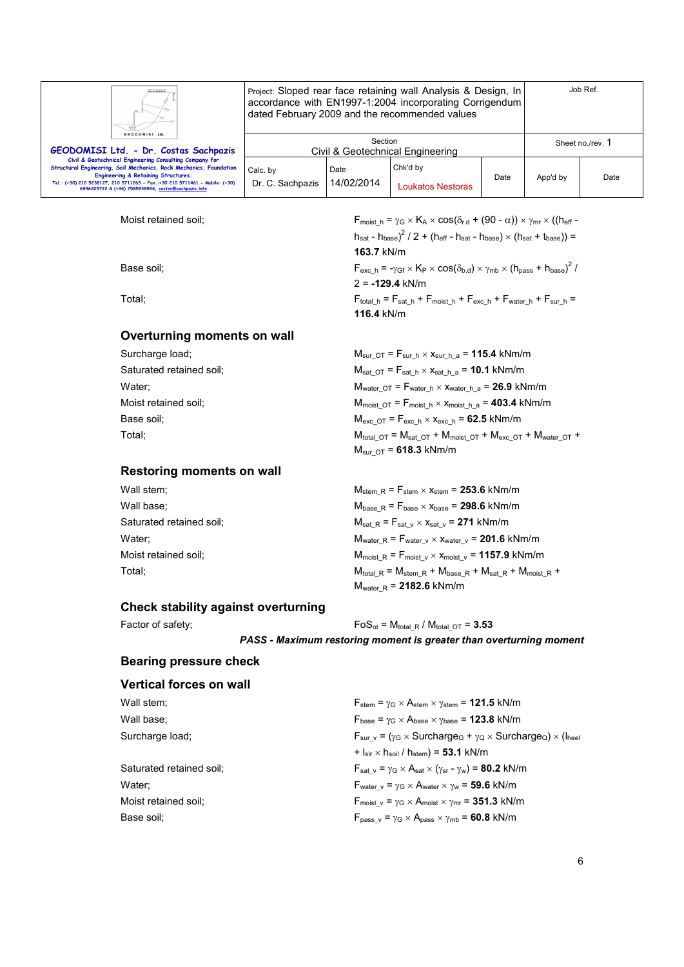|                                                                                                                                                                                                                                                                                                             | Project: Sloped rear face retaining wall Analysis & Design, In<br>accordance with EN1997-1:2004 incorporating Corrigendum<br>dated February 2009 and the recommended values |                    |                               |      | Job Ref.         |      |
|-------------------------------------------------------------------------------------------------------------------------------------------------------------------------------------------------------------------------------------------------------------------------------------------------------------|-----------------------------------------------------------------------------------------------------------------------------------------------------------------------------|--------------------|-------------------------------|------|------------------|------|
| GEODOMISI Ltd.<br>GEODOMISI Ltd. - Dr. Costas Sachpazis                                                                                                                                                                                                                                                     | Section<br>Civil & Geotechnical Engineering                                                                                                                                 |                    |                               |      | Sheet no./rev. 1 |      |
| Civil & Geotechnical Engineering Consulting Company for<br>Structural Engineering, Soil Mechanics, Rock Mechanics, Foundation<br>Engineering & Retaining Structures.<br>Tel.: (+30) 210 5238127, 210 5711263 - Fax.:+30 210 5711461 - Mobile: (+30)<br>6936425722 & (+44) 7585939944, costas@sachpazis.info | Calc. by<br>Dr. C. Sachpazis                                                                                                                                                | Date<br>14/02/2014 | Chk'd by<br>Loukatos Nestoras | Date | App'd by         | Date |

**163.7** kN/m

**116.4** kN/m

2 = **-129.4** kN/m

Moist retained soil;  $F_{\text{moist\_h}} = \gamma_G \times K_A \times \cos(\delta_{r.d} + (90 - \alpha)) \times \gamma_{mr} \times ((h_{eff} - h_{m,str}) \times h_{m,sc})$ 

Base soil;  $F_{\text{exc}_h} = -\gamma_{\text{Gf}} \times K_P \times \cos(\delta_{\text{b.d}}) \times \gamma_{\text{mb}} \times (h_{\text{pass}} + h_{\text{base}})^2 /$ 

Total;  $F_{total\_h} = F_{sat\_h} + F_{moist\_h} + F_{exc\_h} + F_{water\_h} + F_{sur\_h} =$ 

# **Overturning moments on wall**

| Surcharge load;          | $M_{\text{sur OT}} = F_{\text{sur h}} \times X_{\text{sur h a}} = 115.4 \text{ kNm/m}$       |
|--------------------------|----------------------------------------------------------------------------------------------|
| Saturated retained soil; | $M_{\text{sat OT}} = F_{\text{sat h}} \times x_{\text{sat h a}} = 10.1 \text{ kNm/m}$        |
| Water:                   | $M_{water\ O} = F_{water\ h} \times X_{water\ h\ a} = 26.9$ kNm/m                            |
| Moist retained soil:     | $M_{\text{moist OT}} = F_{\text{moist h}} \times X_{\text{moist h a}} = 403.4 \text{ kNm/m}$ |
| Base soil:               | $M_{\text{exc OT}} = F_{\text{exc h}} \times x_{\text{exc h}} = 62.5 \text{ kNm/m}$          |
| Total:                   | $M_{total O} = M_{sat O} + M_{moist O} + M_{exc O} + M_{water O} +$                          |
|                          | $M_{\text{sur of}} = 618.3 \text{ kNm/m}$                                                    |

# **Restoring moments on wall**

| Wall stem;               | $M_{stem R}$ = $F_{stem}$ $\times$ $x_{stem}$ = 253.6 kNm/m                                |
|--------------------------|--------------------------------------------------------------------------------------------|
| Wall base:               | $M_{base R} = F_{base} \times X_{base} = 298.6$ kNm/m                                      |
| Saturated retained soil; | $M_{\text{sat R}} = F_{\text{sat v}} \times x_{\text{sat v}} = 271 \text{ kNm/m}$          |
| Water:                   | $M_{water\_R}$ = $F_{water\_v}$ $\times$ $x_{water\_v}$ = 201.6 kNm/m                      |
| Moist retained soil;     | $M_{\text{moist R}} = F_{\text{moist v}} \times x_{\text{moist v}} = 1157.9 \text{ kNm/m}$ |
| Total:                   | $M_{total R} = M_{stem R} + M_{base R} + M_{sat R} + M_{moist R} +$                        |
|                          | $M_{\text{water R}}$ = 2182.6 kNm/m                                                        |

## **Check stability against overturning**

Factor of safety;  $F \circ S_{ot} = M_{total} R / M_{total} O T = 3.53$ 

*PASS - Maximum restoring moment is greater than overturning moment* 

 $h_{\text{sat}}$  -  $h_{\text{base}}$ )<sup>2</sup> / 2 + ( $h_{\text{eff}}$  -  $h_{\text{sat}}$  -  $h_{\text{base}} \times (h_{\text{sat}} + t_{\text{base}})$ ) =

# **Bearing pressure check**

| Vertical forces on wall  |                                                                                                                     |
|--------------------------|---------------------------------------------------------------------------------------------------------------------|
| Wall stem;               | $F_{stem}$ = $\gamma$ <sub>G</sub> $\times$ A <sub>stem</sub> $\times$ $\gamma$ <sub>stem</sub> = <b>121.5</b> kN/m |
| Wall base;               | $F_{base} = \gamma_G \times A_{base} \times \gamma_{base} = 123.8$ kN/m                                             |
| Surcharge load;          | $F_{\text{sur v}} = (\gamma_G \times \text{Surface}_G + \gamma_O \times \text{Surface}_O) \times (I_{\text{heel}})$ |
|                          | $+ I_{\text{slr}} \times h_{\text{soil}} / h_{\text{stem}}$ = 53.1 kN/m                                             |
| Saturated retained soil: | $F_{\text{sat v}} = \gamma_G \times A_{\text{sat}} \times (\gamma_{\text{sr}} - \gamma_w) = 80.2 \text{ kN/m}$      |
| Water:                   | $F_{\text{water v}} = \gamma_G \times A_{\text{water}} \times \gamma_w = 59.6 \text{ kN/m}$                         |
| Moist retained soil:     | $F_{\text{moist v}} = \gamma_G \times A_{\text{moist}} \times \gamma_{\text{mr}} = 351.3 \text{ kN/m}$              |
| Base soil:               | $F_{pass\ v} = \gamma_G \times A_{pass} \times \gamma_{mb} = 60.8$ kN/m                                             |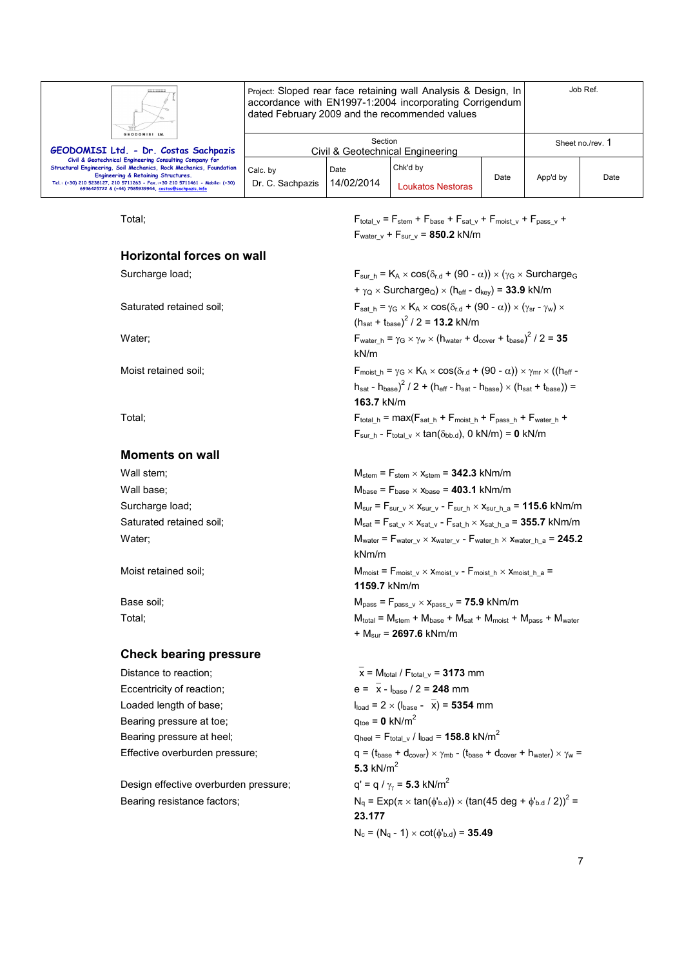| Ш.<br>GEODOMISI Ltd.                                                                                                                                                                                                                                                                                                   | Job Ref.<br>Project: Sloped rear face retaining wall Analysis & Design, In<br>accordance with EN1997-1:2004 incorporating Corrigendum<br>dated February 2009 and the recommended values |                    |                               |      |                  |      |
|------------------------------------------------------------------------------------------------------------------------------------------------------------------------------------------------------------------------------------------------------------------------------------------------------------------------|-----------------------------------------------------------------------------------------------------------------------------------------------------------------------------------------|--------------------|-------------------------------|------|------------------|------|
| GEODOMISI Ltd. - Dr. Costas Sachpazis                                                                                                                                                                                                                                                                                  | Section<br>Civil & Geotechnical Engineering                                                                                                                                             |                    |                               |      | Sheet no./rev. 1 |      |
| Civil & Geotechnical Engineering Consulting Company for<br>Structural Engineering, Soil Mechanics, Rock Mechanics, Foundation<br><b>Engineering &amp; Retaining Structures.</b><br>Tel.: (+30) 210 5238127, 210 5711263 - Fax.:+30 210 5711461 - Mobile: (+30)<br>6936425722 & (+44) 7585939944, costas@sachpazis.info | Calc. by<br>Dr. C. Sachpazis                                                                                                                                                            | Date<br>14/02/2014 | Chk'd by<br>Loukatos Nestoras | Date | App'd by         | Date |

#### **Horizontal forces on wall**

#### **Moments on wall**

| Wall stem;               |  |
|--------------------------|--|
| Wall base;               |  |
| Surcharge load;          |  |
| Saturated retained soil; |  |
| Water:                   |  |
|                          |  |

#### **Check bearing pressure**

Eccentricity of reaction;  $e = \overline{x} - I_{base} / 2 = 248$  mm Bearing pressure at toe;  $q_{\text{toe}} = 0 \text{ kN/m}^2$ 

Design effective overburden pressure;

Total;  $F_{total_v} = F_{stem} + F_{base} + F_{sat_v} + F_{moist_v} + F_{pass_v} + F_{pass_v}$  $F_{water\ v} + F_{sur\ v} = 850.2$  kN/m

Surcharge load; Fsur h = KA × cos( $\delta_{r.d}$  + (90 -  $\alpha$ )) × ( $\gamma$ G × SurchargeG  $+\gamma_{\rm Q} \times$  Surcharge<sub>Q</sub>)  $\times$  (h<sub>eff</sub> - d<sub>kev</sub>) = **33.9** kN/m Saturated retained soil;  $F_{sat_h} = \gamma_G \times K_A \times \cos(\delta_{r.d} + (90 - \alpha)) \times (\gamma_{sr} - \gamma_w) \times$  $(h_{\text{sat}} + t_{\text{base}})^2$  / 2 = **13.2** kN/m Water;  $F_{\text{water\_h}} = \gamma_G \times \gamma_W \times (h_{\text{water}} + d_{\text{cover}} + t_{\text{base}})^2 / 2 = 35$ kN/m Moist retained soil; Fmoist  $h = \gamma_G \times K_A \times \cos(\delta_{r.d} + (90 - \alpha)) \times \gamma_{mr} \times ((h_{eff} - \alpha_{mr}) \times \cos(\delta_{r.d} + (90 - \alpha)) \times \gamma_{mr} \times ((h_{eff} - \alpha_{mr}) \times \cos(\delta_{r.d} + (90 - \alpha)) \times \gamma_{mr} \times ((h_{eff} - \alpha_{mr}) \times \cos(\delta_{r.d} + (90 - \alpha)) \times \gamma_{mr} \times ((h_{eff} - \alpha_{mr}) \times \cos(\delta_{r.d} + (90 - \alpha)) \times \gamma_{mr} \times ((h_{eff$  $h_{\text{sat}}$  -  $h_{\text{base}}$ )<sup>2</sup> / 2 + ( $h_{\text{eff}}$  -  $h_{\text{sat}}$  -  $h_{\text{base}} \times (h_{\text{sat}} + t_{\text{base}})$ ) = **163.7** kN/m Total; Fotal in  $=$  max( $F_{\text{sat/h}}$  +  $F_{\text{moist/h}}$  +  $F_{\text{pass/h}}$  +  $F_{\text{water/h}}$  +  $F_{sur-h}$  -  $F_{total}$ <sub>v</sub>  $\times$  tan( $\delta_{bb.d}$ ), 0 kN/m) = **0** kN/m

 $M_{stem}$  =  $F_{stem}$   $\times$   $x_{stem}$  = **342.3** kNm/m  $M_{base}$  =  $F_{base}$   $\times$   $x_{base}$  = **403.1** kNm/m  $M_{sur}$  =  $F_{sur\_v}$   $\times$   $x_{sur\_v}$  -  $F_{sur\_h}$   $\times$   $x_{sur\_h\_a}$  = **115.6** kNm/m  $M_{sat}$  =  $F_{sat}$   $_v$   $\times$   $x_{sat}$   $_v$  -  $F_{sat}$   $_h$   $\times$   $x_{sat}$   $_h$   $_a$  = **355.7** kNm/m  $M_{water}$  =  $F_{water\_v}$   $\times$   $X_{water\_v}$  -  $F_{water\_h}$   $\times$   $X_{water\_h\_a}$  = 245.2 kNm/m Moist retained soil;  $M_{\text{moist}} = F_{\text{moist}_V} \times X_{\text{moist}_V} - F_{\text{moist}_h} \times X_{\text{moist}_h} =$ **1159.7** kNm/m Base soil;  $M_{pass} = F_{pass} \vee x_{pass} = 75.9 \text{ kNm/m}$  $Total;$   $Total;$   $M_{total} = M_{stem} + M_{base} + M_{sat} + M_{moist} + M_{pass} + M_{water}$ + Msur = **2697.6** kNm/m

Distance to reaction;  $\overline{x} = M_{total}/F_{total} = 3173$  mm Loaded length of base;  $l_{load} = 2 \times (l_{base} - \overline{x}) = 5354$  mm Bearing pressure at heel;  $q_{\text{heel}} = F_{\text{total}} \sqrt{|q_{\text{load}}|} = 158.8 \text{ kN/m}^2$ Effective overburden pressure;  $q = (t_{base} + d_{cover}) \times \gamma_{mb} - (t_{base} + d_{cover} + h_{water}) \times \gamma_w =$ **5.3** kN/m<sup>2</sup>  $q' = q / \gamma_{\gamma} = 5.3$  kN/m<sup>2</sup> Bearing resistance factors;  $N_q = Exp(\pi \times tan(\phi_{b.d})) \times (tan(45 deg + \phi_{b.d}/2))^2 =$ **23.177**  $N_c = (N_q - 1) \times \cot(\phi_{b.d}) = 35.49$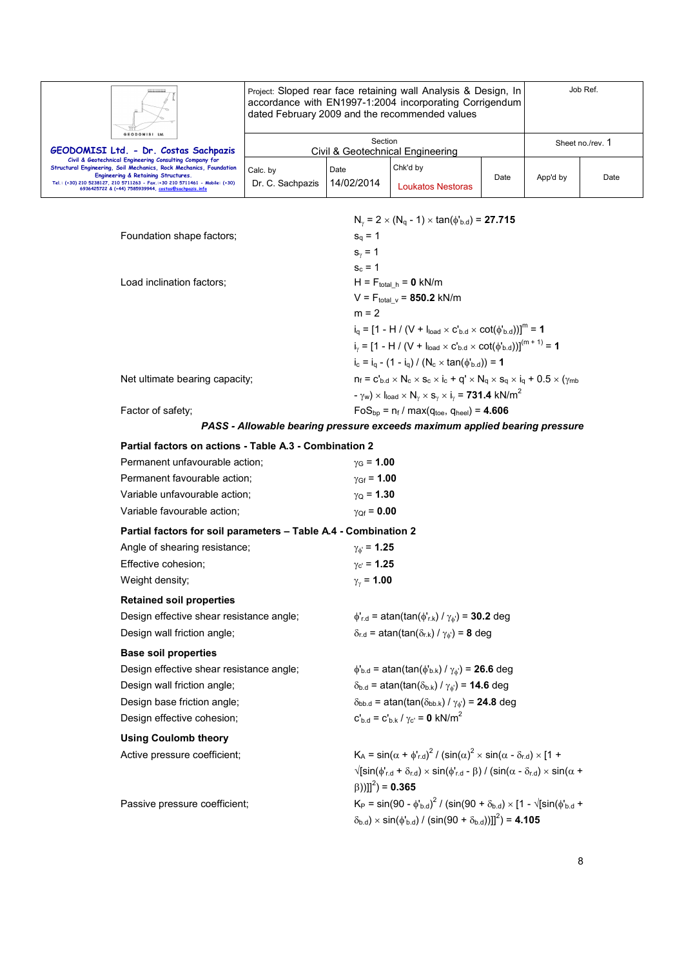| ш.                                                                                                                                                                                                                                                                                                          |                              | Job Ref.<br>Project: Sloped rear face retaining wall Analysis & Design, In<br>accordance with EN1997-1:2004 incorporating Corrigendum<br>dated February 2009 and the recommended values |                               |      |          |                  |
|-------------------------------------------------------------------------------------------------------------------------------------------------------------------------------------------------------------------------------------------------------------------------------------------------------------|------------------------------|-----------------------------------------------------------------------------------------------------------------------------------------------------------------------------------------|-------------------------------|------|----------|------------------|
| GEODOMISI Ltd.<br>GEODOMISI Ltd. - Dr. Costas Sachpazis                                                                                                                                                                                                                                                     |                              | Section<br>Civil & Geotechnical Engineering                                                                                                                                             |                               |      |          | Sheet no./rev. 1 |
| Civil & Geotechnical Engineering Consulting Company for<br>Structural Engineering, Soil Mechanics, Rock Mechanics, Foundation<br>Engineering & Retaining Structures.<br>Tel.: (+30) 210 5238127, 210 5711263 - Fax.:+30 210 5711461 - Mobile: (+30)<br>6936425722 & (+44) 7585939944, costas@sachpazis.info | Calc. by<br>Dr. C. Sachpazis | Date<br>14/02/2014                                                                                                                                                                      | Chk'd by<br>Loukatos Nestoras | Date | App'd by | Date             |

| $N_v = 2 \times (N_q - 1) \times \tan(\phi_{b,d}) = 27.715$                                                      |
|------------------------------------------------------------------------------------------------------------------|
| $s_{q} = 1$                                                                                                      |
| $s_{v} = 1$                                                                                                      |
| $S_c = 1$                                                                                                        |
| $H = F_{total h} = 0$ kN/m                                                                                       |
| $V = F_{total}$ <sub>v</sub> = 850.2 kN/m                                                                        |
| $m = 2$                                                                                                          |
| $i_q = [1 - H / (V + I_{load} \times C'_{b,d} \times \cot(\phi'_{b,d}))]^m = 1$                                  |
| $i_y = [1 - H / (V + I_{load} \times C_{b.d} \times \cot(\phi_{b.d}))]^{(m+1)} = 1$                              |
| $i_c = i_a - (1 - i_a) / (N_c \times \tan(\phi_{b,d})) = 1$                                                      |
| $n_f = C_{b,d} \times N_c \times s_c \times i_c + q' \times N_q \times s_q \times i_q + 0.5 \times (\gamma_{mb}$ |
| $- \gamma_w$ ) × $I_{load}$ × $N_v$ × $s_v$ × $i_v$ = <b>731.4</b> kN/m <sup>2</sup>                             |
| $FoS_{\text{bp}} = n_f / max(q_{\text{toe}}, q_{\text{heel}}) = 4.606$                                           |
| PASS - Allowable bearing pressure exceeds maximum applied bearing pressure                                       |
|                                                                                                                  |

# **Partial factors on actions - Table A.3 - Combination 2**

| Permanent unfavourable action;                                  | $\gamma_{\rm G}$ = 1.00                                                                                                                                                               |
|-----------------------------------------------------------------|---------------------------------------------------------------------------------------------------------------------------------------------------------------------------------------|
| Permanent favourable action;                                    | $y_{\text{Gf}} = 1.00$                                                                                                                                                                |
| Variable unfavourable action;                                   | $\gamma_{\rm Q}$ = 1.30                                                                                                                                                               |
| Variable favourable action;                                     | $\gamma_{Qf} = 0.00$                                                                                                                                                                  |
| Partial factors for soil parameters - Table A.4 - Combination 2 |                                                                                                                                                                                       |
| Angle of shearing resistance;                                   | $\gamma_{\phi} = 1.25$                                                                                                                                                                |
| Effective cohesion;                                             | $\gamma_{c'} = 1.25$                                                                                                                                                                  |
| Weight density;                                                 | $\gamma_{\gamma}$ = 1.00                                                                                                                                                              |
| <b>Retained soil properties</b>                                 |                                                                                                                                                                                       |
| Design effective shear resistance angle;                        | $\phi'_{r.d}$ = atan(tan( $\phi'_{r.k}$ ) / $\gamma_{\phi'}$ ) = 30.2 deg                                                                                                             |
| Design wall friction angle;                                     | $\delta_{r.d}$ = atan(tan( $\delta_{r.k}$ ) / $\gamma_{\phi}$ ) = 8 deg                                                                                                               |
| <b>Base soil properties</b>                                     |                                                                                                                                                                                       |
| Design effective shear resistance angle;                        | $\phi_{b.d}$ = atan(tan( $\phi_{b.k}$ ) / $\gamma_{\phi}$ ) = 26.6 deg                                                                                                                |
| Design wall friction angle;                                     | $\delta_{b.d}$ = atan(tan( $\delta_{b.k}$ ) / $\gamma_{\phi}$ ) = 14.6 deg                                                                                                            |
| Design base friction angle;                                     | $\delta_{\text{bb.d}}$ = atan(tan( $\delta_{\text{bb.k}}$ ) / $\gamma_{\phi}$ ) = 24.8 deg                                                                                            |
| Design effective cohesion;                                      | $C_{\rm bd} = C_{\rm bk} / \gamma_{\rm c'} = 0 \; {\rm kN/m^2}$                                                                                                                       |
| <b>Using Coulomb theory</b>                                     |                                                                                                                                                                                       |
| Active pressure coefficient;                                    | $K_A = \sin(\alpha + \phi'_{r,d})^2 / (\sin(\alpha)^2 \times \sin(\alpha - \delta_{r,d}) \times 11 +$                                                                                 |
|                                                                 | $\sqrt{\sin(\phi'_{r,d} + \delta_{r,d})} \times \sin(\phi'_{r,d} - \beta) / (\sin(\alpha - \delta_{r,d}) \times \sin(\alpha + \beta))$<br>$(\beta))]$ ] <sup>2</sup> ) = <b>0.365</b> |
| Passive pressure coefficient;                                   | $K_P = \sin(90 - \phi_{\rm bd}^{\rm t})^2 / (\sin(90 + \delta_{\rm bd}) \times 11 - \sqrt{\sin(\phi_{\rm bd}^{\rm t} + \phi_{\rm bd}^{\rm t})})$                                      |
|                                                                 | $(\delta_{\rm b.d}) \times \sin(\phi_{\rm b.d}) / (\sin(90 + \delta_{\rm b.d}))]^{2}$ = 4.105                                                                                         |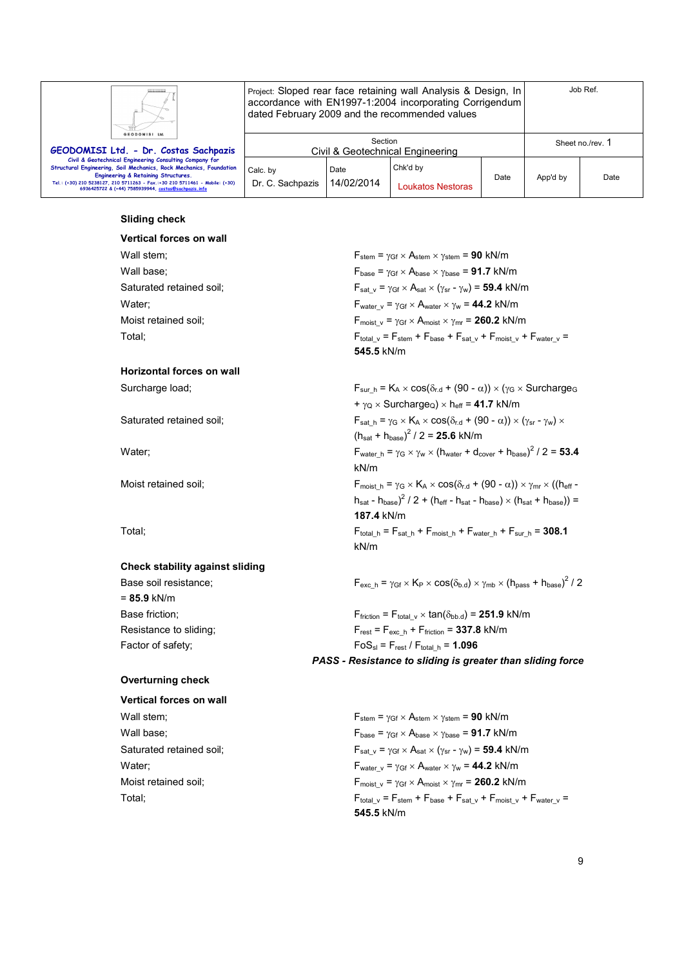

Project: Sloped rear face retaining wall Analysis & Design, In accordance with EN1997-1:2004 incorporating Corrigendum dated February 2009 and the recommended values

| GEODOMISI Ltd.<br>GEODOMISI Ltd. - Dr. Costas Sachpazis                                                                                                                                                                                                                                                     | Section<br>Civil & Geotechnical Engineering |                    |                               | Sheet no./rev. 1 |          |      |
|-------------------------------------------------------------------------------------------------------------------------------------------------------------------------------------------------------------------------------------------------------------------------------------------------------------|---------------------------------------------|--------------------|-------------------------------|------------------|----------|------|
| Civil & Geotechnical Engineering Consulting Company for<br>Structural Engineering, Soil Mechanics, Rock Mechanics, Foundation<br>Engineering & Retaining Structures.<br>Tel.: (+30) 210 5238127, 210 5711263 - Fax.:+30 210 5711461 - Mobile: (+30)<br>6936425722 & (+44) 7585939944, costas@sachpazis.info | Calc. by<br>Dr. C. Sachpazis                | Date<br>14/02/2014 | Chk'd by<br>Loukatos Nestoras | Date             | App'd by | Date |

#### **Sliding check**

# **Vertical forces on wall**  Wall stem;  $W$  **F**stem =  $\gamma$ Gf × Astem ×  $\gamma$ stem = **90** kN/m Wall base;  $F_{\text{base}} = \gamma_{\text{Gf}} \times A_{\text{base}} \times \gamma_{\text{base}} = 91.7 \text{ kN/m}$ Saturated retained soil; Saturated retained soil;  $F_{\text{sat v}} = \gamma_{\text{Gf}} \times A_{\text{sat x}} (\gamma_{\text{sr}} - \gamma_w) = 59.4 \text{ kN/m}$ Water;  $\qquad \qquad$  F<sub>water v</sub> =  $\gamma_{\text{Gf}} \times A_{\text{water}} \times \gamma_{\text{w}} = 44.2 \text{ kN/m}$ Moist retained soil;  $F_{\text{moist } v} = \gamma_{\text{Gf}} \times A_{\text{moist}} \times \gamma_{\text{mr}} = 260.2 \text{ kN/m}$ Total; For example 2  $\frac{F_{total}}{V} = F_{stem} + F_{base} + F_{sat} + F_{moist} + F_{water}$  v **Horizontal forces on wall**  Surcharge load; Fsur h = K<sub>A</sub> × cos( $\delta_{r,d}$  + (90 -  $\alpha$ )) × ( $\gamma$ <sub>G</sub> × Surcharge<sub>G</sub> Saturated retained soil;  $F_{sat-h} = \gamma_G \times K_A \times \cos(\delta_{r,d} + (90 - \alpha)) \times (\gamma_{sr} - \gamma_w) \times$

#### **Check stability against sliding**

= **85.9** kN/m

#### **Overturning check**

# **Vertical forces on wall**

**545.5** kN/m

 $+\gamma_{\rm Q} \times$  Surcharge<sub>Q</sub>)  $\times$  h<sub>eff</sub> = 41.7 kN/m

 $(h_{\text{sat}} + h_{\text{base}})^2 / 2 = 25.6$  kN/m

Water; F<sub>water\_h</sub> =  $\gamma$ <sub>G</sub>  $\times$   $\gamma_{\rm w}$   $\times$  (h<sub>water</sub> + d<sub>cover</sub> + h<sub>base</sub>)<sup>2</sup> / 2 = **53.4** kN/m

Moist retained soil; F<sub>moist h</sub> =  $\gamma$ <sub>G</sub> × K<sub>A</sub> × cos( $\delta$ <sub>r.d</sub> + (90 - α)) ×  $\gamma$ <sub>mr</sub> × ((h<sub>eff</sub>  $h_{\text{sat}}$  -  $h_{\text{base}}$ )<sup>2</sup> / 2 + ( $h_{\text{eff}}$  -  $h_{\text{sat}}$  -  $h_{\text{base}}$ )  $\times$  ( $h_{\text{sat}}$  +  $h_{\text{base}}$ )) = **187.4** kN/m Total;  $F_{total_h} = F_{sat_h} + F_{moist_h} + F_{water_h} + F_{sur_h} = 308.1$ kN/m

Base soil resistance;  $F_{\text{exc}_h} = \gamma_{\text{Gf}} \times K_P \times \cos(\delta_{\text{b.d}}) \times \gamma_{\text{mb}} \times (h_{\text{pass}} + h_{\text{base}})^2 / 2$ 

Base friction;  $F_{\text{friction}} = F_{\text{total}} \vee \times \tan(\delta_{\text{bb}} d) = 251.9 \text{ kN/m}$ Resistance to sliding;  $F_{\text{rest}} = F_{\text{exc-h}} + F_{\text{friction}} = 337.8 \text{ kN/m}$ Factor of safety;  $F \circ S_{\text{sl}} = F_{\text{rest}} / F_{\text{total} h} = 1.096$ *PASS - Resistance to sliding is greater than sliding force* 

Wall stem;  $V = \frac{F_{\text{stem}} - \gamma_{\text{Gf}} \times A_{\text{stem}} - \gamma_{\text{stem}}}{F_{\text{stem}} - \gamma_{\text{Stem}} \times \gamma_{\text{stem}}}$ Wall base;  $F_{\text{base}} = \gamma_{\text{Gf}} \times A_{\text{base}} \times \gamma_{\text{base}} = 91.7 \text{ kN/m}$ Saturated retained soil;  $F_{\text{sat v}} = \gamma_{\text{Gf}} \times A_{\text{sat}} \times (\gamma_{\text{sr}} - \gamma_w) = 59.4 \text{ kN/m}$ Water;  $\mathsf{F}_{\text{water\_v}} = \gamma_{\text{Gf}} \times \mathsf{A}_{\text{water}} \times \gamma_{\text{w}} = 44.2 \text{ kN/m}$ Moist retained soil;  $F_{\text{moist } v} = \gamma_{\text{Gf}} \times A_{\text{moist } \times \gamma_{\text{mr}}} = 260.2 \text{ kN/m}$ Total; For example 2  $\frac{F_{total}}{V} = F_{stem} + F_{base} + F_{sat} + F_{moist} + F_{water}$  v **545.5** kN/m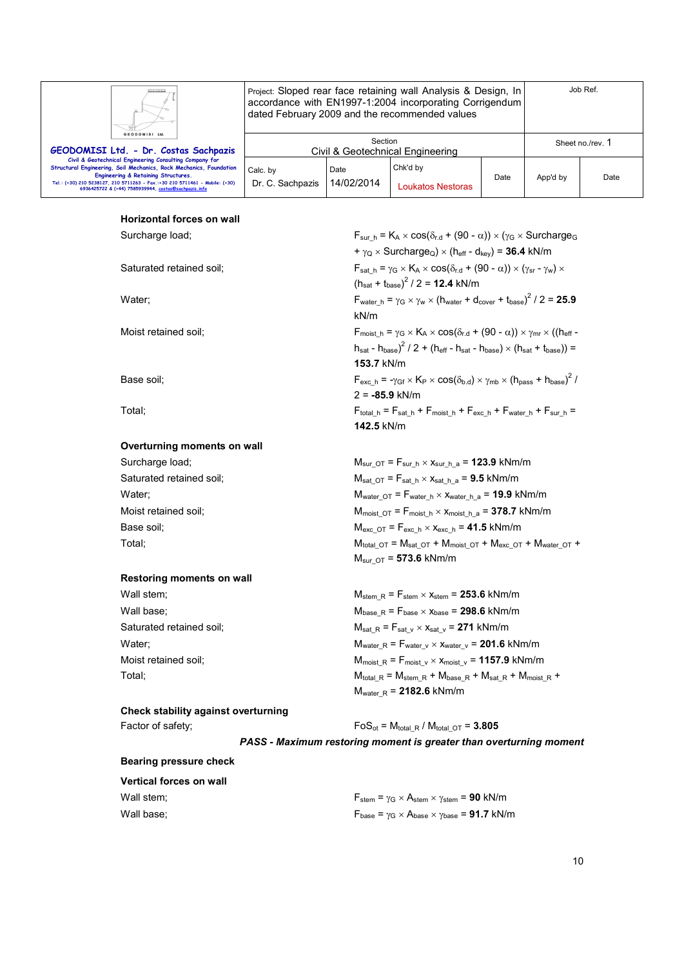| GEODOMISI Ltd. |  |
|----------------|--|

Project: Sloped rear face retaining wall Analysis & Design, In accordance with EN1997-1:2004 incorporating Corrigendum dated February 2009 and the recommended values

kN/m

**153.7** kN/m

2 = **-85.9** kN/m

**142.5** kN/m

| GEODOMISI Ltd.<br>GEODOMISI Ltd. - Dr. Costas Sachpazis                                                                                                                                                                                                                                                            | Section<br>Civil & Geotechnical Engineering |                    |                                      |      | Sheet no./rev. 1 |      |
|--------------------------------------------------------------------------------------------------------------------------------------------------------------------------------------------------------------------------------------------------------------------------------------------------------------------|---------------------------------------------|--------------------|--------------------------------------|------|------------------|------|
| Civil & Geotechnical Engineering Consulting Company for<br><b>Structural Engineering, Soil Mechanics, Rock Mechanics, Foundation</b><br>Engineering & Retaining Structures.<br>Tel.: (+30) 210 5238127, 210 5711263 - Fax.:+30 210 5711461 - Mobile: (+30)<br>6936425722 & (+44) 7585939944, costas@sachpazis.info | Calc. by<br>Dr. C. Sachpazis                | Date<br>14/02/2014 | Chk'd by<br><b>Loukatos Nestoras</b> | Date | App'd by         | Date |

 $(h_{\text{sat}} + t_{\text{base}})^2$  / 2 = **12.4** kN/m

 $+ \gamma_Q \times$  Surcharge<sub>Q</sub>)  $\times$  (h<sub>eff</sub> - d<sub>kev</sub>) = **36.4** kN/m

 $h_{\text{sat}}$  -  $h_{\text{base}}$ )<sup>2</sup> / 2 + ( $h_{\text{eff}}$  -  $h_{\text{sat}}$  -  $h_{\text{base}} \times (h_{\text{sat}} + t_{\text{base}}))$  =

#### **Horizontal forces on wall**

Surcharge load; Fsur h = K<sub>A</sub> × cos( $\delta_{r,d}$  + (90 -  $\alpha$ )) × ( $\gamma$ <sub>G</sub> × Surcharge<sub>G</sub>

Saturated retained soil;  $F_{\text{sat h}} = \gamma_G \times K_A \times \cos(\delta_{\text{rd}} + (90 - \alpha)) \times (\gamma_{\text{sr}} - \gamma_w) \times$ 

Water;  $F_{\text{water}\_h} = \gamma_G \times \gamma_w \times (h_{\text{water}\_f} + d_{\text{cover}} + t_{\text{base}})^2 / 2 = 25.9$ 

Moist retained soil; F<sub>moist h</sub> =  $\gamma$ <sub>G</sub> × K<sub>A</sub> × cos( $\delta$ <sub>r.d</sub> + (90 - α)) ×  $\gamma$ <sub>mr</sub> × ((h<sub>eff</sub> -

Base soil;  $F_{\text{exc}_h} = -\gamma_{\text{Gf}} \times K_P \times \cos(\delta_{\text{b.d}}) \times \gamma_{\text{mb}} \times (h_{\text{pass}} + h_{\text{base}})^2 /$ 

Total; F<sub>total h</sub> =  $F_{stat,h}$  +  $F_{most}$  +  $F_{exc,h}$  +  $F_{water,h}$  +  $F_{sur,h}$  =

#### **Overturning moments on wall**

| Surcharge load;          | $M_{\text{sur\_OT}} = F_{\text{sur\_h}} \times x_{\text{sur\_h\_a}} = 123.9 \text{ kNm/m}$ |
|--------------------------|--------------------------------------------------------------------------------------------|
| Saturated retained soil; | $M_{sat\ O}T = F_{sat\ h} \times X_{sat\ h\ a} = 9.5\ kNm/m$                               |
| Water:                   | $M_{water\_OT}$ = $F_{water\_h}$ $\times$ $x_{water\_h\_a}$ = <b>19.9</b> kNm/m            |
| Moist retained soil;     | $M_{\text{moist OT}} = F_{\text{moist h}} \times X_{\text{moist h a}} = 378.7$ kNm/m       |
| Base soil:               | $M_{\text{exc OT}} = F_{\text{exc h}} \times X_{\text{exc h}} = 41.5 \text{ kNm/m}$        |
| Total:                   | $M_{total O} = M_{sat O} + M_{moist O} + M_{exc O} + M_{water O} +$                        |
|                          | $M_{\text{sur }OT}$ = 573.6 kNm/m                                                          |

#### **Restoring moments on wall**

Wall stem;  $W_{\text{stem}\_R} = F_{\text{stem}\_X} \times X_{\text{stem}} = 253.6 \text{ kNm/m}$ Wall base;  $M_{base \ R} = F_{base} \times x_{base} = 298.6 \text{ kNm/m}$ Saturated retained soil;  $M_{sat_R} = F_{sat_V} \times x_{sat_V} = 271 \text{ kNm/m}$ Water;  $M_{\text{water R}} = F_{\text{water V}} \times x_{\text{water V}} = 201.6 \text{ kNm/m}$ Moist retained soil;  $M_{\text{moist R}} = F_{\text{moist V}} \times x_{\text{moist V}} = 1157.9 \text{ kNm/m}$ Total;  $\mathsf{Total}_R = \mathsf{M}_{\mathsf{total}}R + \mathsf{M}_{\mathsf{base}}R + \mathsf{M}_{\mathsf{sat}}R + \mathsf{M}_{\mathsf{moist}}R +$ 

#### **Check stability against overturning**  Factor of safety;  $FoS_{ot} = M_{total, R} / M_{total, OT} = 3.805$

*PASS - Maximum restoring moment is greater than overturning moment* 

Mwater\_R = **2182.6** kNm/m

# **Bearing pressure check**

| <b>Vertical forces on wall</b> |                                                                                                                  |
|--------------------------------|------------------------------------------------------------------------------------------------------------------|
| Wall stem:                     | $F_{stem}$ = $\gamma$ <sub>G</sub> $\times$ A <sub>stem</sub> $\times$ $\gamma$ <sub>stem</sub> = <b>90</b> kN/m |
| Wall base:                     | $F_{base} = \gamma_G \times A_{base} \times \gamma_{base} = 91.7$ kN/m                                           |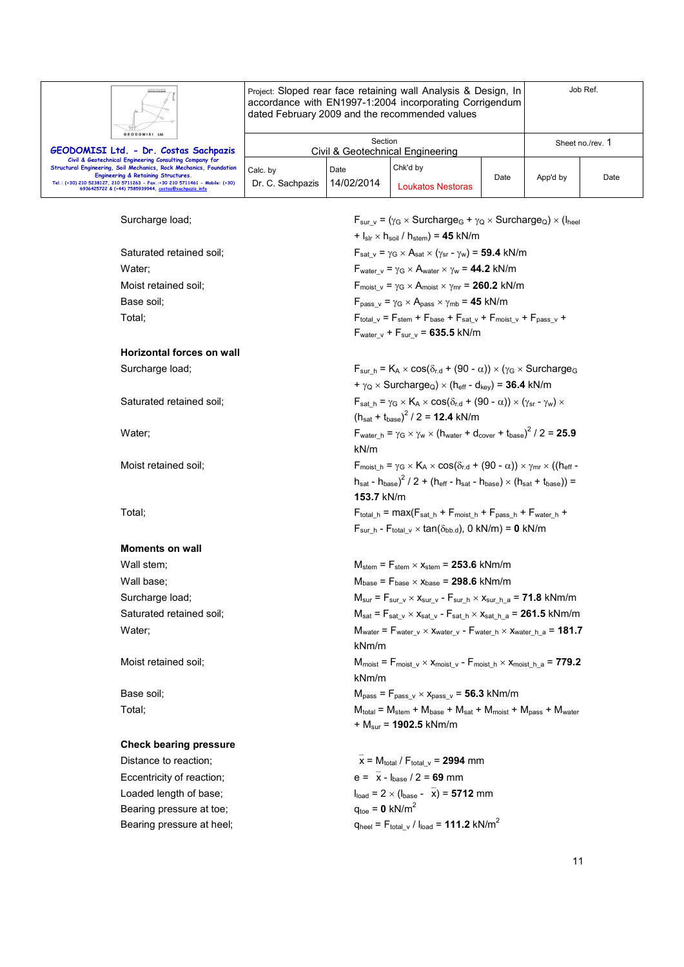

Project: Sloped rear face retaining wall Analysis & Design, In accordance with EN1997-1:2004 incorporating Corrigendum dated February 2009 and the recommended values

| GEODOMISI Ltd.<br>GEODOMISI Ltd. - Dr. Costas Sachpazis                                                                                                                                                                                                                                                     |                              | Section            | Civil & Geotechnical Engineering |      |          | Sheet no./rev. 1 |
|-------------------------------------------------------------------------------------------------------------------------------------------------------------------------------------------------------------------------------------------------------------------------------------------------------------|------------------------------|--------------------|----------------------------------|------|----------|------------------|
| Civil & Geotechnical Engineering Consulting Company for<br>Structural Engineering, Soil Mechanics, Rock Mechanics, Foundation<br>Engineering & Retaining Structures.<br>Tel.: (+30) 210 5238127, 210 5711263 - Fax.:+30 210 5711461 - Mobile: (+30)<br>6936425722 & (+44) 7585939944, costas@sachpazis.info | Calc, by<br>Dr. C. Sachpazis | Date<br>14/02/2014 | Chk'd by<br>Loukatos Nestoras    | Date | App'd by | Date             |

Surcharge load; For example  $F_{\text{sur}}$  v = ( $\gamma_G \times \text{Surcharge}_G + \gamma_Q \times \text{Surcharge}_Q) \times (I_{\text{heel}})$  $+$   $|_{\text{slr}} \times$   $h_{\text{soil}}/h_{\text{stem}}) = 45$  kN/m Saturated retained soil;  $F_{\text{sat v}} = \gamma_G \times A_{\text{sat x}} (\gamma_{\text{sr}} - \gamma_w) = 59.4 \text{ kN/m}$ Water;  $\mathsf{F}_{\text{water\_v}} = \gamma_G \times \mathsf{A}_{\text{water}} \times \gamma_w = 44.2 \text{ kN/m}$ Moist retained soil;  $F_{\text{moist}} \times \gamma_{\text{c}} = \gamma_{\text{G}} \times A_{\text{moist}} \times \gamma_{\text{mr}} = 260.2 \text{ kN/m}$ Base soil; **Base soil**; **Example 3** F<sub>pass v</sub> =  $\gamma$ <sub>G</sub>  $\times$  A<sub>pass</sub>  $\times$   $\gamma$ <sub>mb</sub> = **45** kN/m Total;  $F_{\text{total}}$   $=$   $F_{\text{stellar}} + F_{\text{base}} + F_{\text{sat\_v}} + F_{\text{most\_v}} + F_{\text{pass\_v}} +$  $F_{water\ v} + F_{sur\ v} = 635.5$  kN/m **Horizontal forces on wall**  Surcharge load;  $F_{sur_h} = K_A \times cos(\delta_{r.d} + (90 - \alpha)) \times (\gamma_G \times S$  $+ \gamma_{\text{Q}} \times$  Surcharge<sub>Q</sub>)  $\times$  (h<sub>eff</sub> - d<sub>kev</sub>) = **36.4** kN/m Saturated retained soil;  $F_{sat-h} = \gamma_G \times K_A \times \cos(\delta_{r.d} + (90 - \alpha)) \times (\gamma_{sr} - \gamma_w) \times$  $(h_{\text{sat}} + t_{\text{base}})^2 / 2 = 12.4 \text{ kN/m}$ Water;  $\epsilon_{\text{water}} h = \gamma_G \times \gamma_W \times (h_{\text{water}} + d_{\text{cover}} + t_{\text{base}})^2 / 2 = 25.9$ kN/m Moist retained soil; Fmoist  $h = \gamma_G \times K_A \times \cos(\delta_{rd} + (90 - \alpha)) \times \gamma_{mr} \times ((h_{eff} - \alpha_{mr}) \times (1 - \alpha_{mr}) \times (1 - \alpha_{mr}) \times (1 - \alpha_{mr})$  $h_{\text{sat}}$  -  $h_{\text{base}}$ )<sup>2</sup> / 2 + ( $h_{\text{eff}}$  -  $h_{\text{sat}}$  -  $h_{\text{base}} \times (h_{\text{sat}} + t_{\text{base}})$ ) = **153.7** kN/m Total; Fotal in  $=$  max( $F_{stat}$  h +  $F_{most}$  h +  $F_{pass}$  h +  $F_{water}$  h +  $F_{sur-h}$  -  $F_{total}$ <sub>v</sub>  $\times$  tan( $\delta_{bb.d}$ ), 0 kN/m) = 0 kN/m **Moments on wall**  Wall stem;  $M_{\text{stem}} = F_{\text{stem}} \times x_{\text{stem}} = 253.6 \text{ kNm/m}$ Wall base;  $M_{\text{base}} = F_{\text{base}} \times x_{\text{base}} = 298.6 \text{ kNm/m}$ Surcharge load;  $M_{\text{sur}} = F_{\text{sur}} \sqrt{\frac{x}{x}} + \frac{F_{\text{sur}}}{x} + \frac{F_{\text{sur}}}{x}$   $\frac{x}{x} + \frac{F_{\text{sur}}}{x}$   $\frac{a}{x} = 71.8$  kNm/m Saturated retained soil; Saturated retained soil;  $M_{\text{sat}} = F_{\text{sat}} \vee \times X_{\text{sat}} \vee - F_{\text{sat}} \wedge X_{\text{sat}} \wedge \mathbf{a} = 261.5 \text{ kNm/m}$ Water;  $W_{\text{water}} = F_{\text{water}} v \times X_{\text{water}} r - F_{\text{water}} h \times X_{\text{water}} h$  a = **181.7** kNm/m Moist retained soil;  $M_{\text{moist}} = F_{\text{moist\_v}} \times x_{\text{moist\_v}} - F_{\text{moist\_h}} \times x_{\text{moist\_h\_a}} = 779.2$ kNm/m Base soil;  $M_{pass} = F_{pass_v} \times x_{pass_v} = 56.3 \text{ kNm/m}$  $Total;$   $Total;$   $M_{total} = M_{stem} + M_{base} + M_{sat} + M_{moist} + M_{pass} + M_{water}$ + Msur = **1902.5** kNm/m **Check bearing pressure**  Distance to reaction;  $\overline{x} = M_{total}/F_{total} = 2994$  mm Eccentricity of reaction;  $e = \bar{x} - I_{base} / 2 = 69$  mm Loaded length of base;  $I_{load} = 2 \times (I_{base} - \overline{x}) = 5712$  mm Bearing pressure at toe;  $q_{\text{toe}} = 0 \text{ kN/m}^2$ 

Bearing pressure at heel;  $q_{\text{heel}} = F_{\text{total}} \cdot / I_{\text{load}} = 111.2 \text{ kN/m}^2$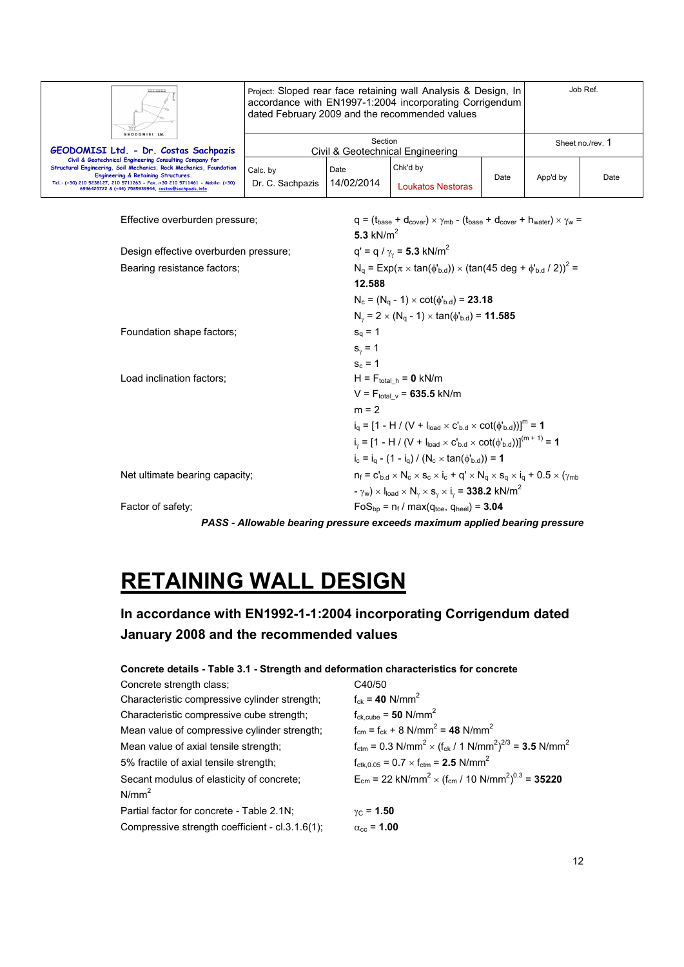| GEODOMISI Ltd.                                                                                                                                                                                                                                                                                              |                                             |                    | Project: Sloped rear face retaining wall Analysis & Design, In<br>accordance with EN1997-1:2004 incorporating Corrigendum<br>dated February 2009 and the recommended values |      |                  | Job Ref. |
|-------------------------------------------------------------------------------------------------------------------------------------------------------------------------------------------------------------------------------------------------------------------------------------------------------------|---------------------------------------------|--------------------|-----------------------------------------------------------------------------------------------------------------------------------------------------------------------------|------|------------------|----------|
| GEODOMISI Ltd. - Dr. Costas Sachpazis                                                                                                                                                                                                                                                                       | Section<br>Civil & Geotechnical Engineering |                    |                                                                                                                                                                             |      | Sheet no./rev. 1 |          |
| Civil & Geotechnical Engineering Consulting Company for<br>Structural Engineering, Soil Mechanics, Rock Mechanics, Foundation<br>Engineering & Retaining Structures.<br>Tel.: (+30) 210 5238127, 210 5711263 - Fax.:+30 210 5711461 - Mobile: (+30)<br>6936425722 & (+44) 7585939944, costas@sachpazis.info | Calc. by<br>Dr. C. Sachpazis                | Date<br>14/02/2014 | Chk'd by<br>Loukatos Nestoras                                                                                                                                               | Date | App'd by         | Date     |

| Effective overburden pressure;        | $q = (t_{base} + d_{cover}) \times \gamma_{mb} - (t_{base} + d_{cover} + h_{water}) \times \gamma_w =$                                            |
|---------------------------------------|---------------------------------------------------------------------------------------------------------------------------------------------------|
|                                       | 5.3 $kN/m2$                                                                                                                                       |
| Design effective overburden pressure; | $q' = q / \gamma_v = 5.3$ kN/m <sup>2</sup>                                                                                                       |
| Bearing resistance factors;           | $N_q = Exp(\pi \times tan(\phi_{b,d})) \times (tan(45 deg + \phi_{b,d} / 2))^2 =$                                                                 |
|                                       | 12.588                                                                                                                                            |
|                                       | $N_c = (N_q - 1) \times \cot(\phi_{b.d}) = 23.18$                                                                                                 |
|                                       | $N_v = 2 \times (N_a - 1) \times \tan(\phi_{b,d}) = 11.585$                                                                                       |
| Foundation shape factors;             | $s_{q} = 1$                                                                                                                                       |
|                                       | $s_{\nu} = 1$                                                                                                                                     |
|                                       | $s_c = 1$                                                                                                                                         |
| Load inclination factors;             | $H = F_{total h} = 0$ kN/m                                                                                                                        |
|                                       | $V = F_{total_v} = 635.5$ kN/m                                                                                                                    |
|                                       | $m = 2$                                                                                                                                           |
|                                       | $i_0 = [1 - H / (V + I_{load} \times C_{bd} \times \cot(\phi_{bd}))]^{m} = 1$                                                                     |
|                                       | $i_{y} = [1 - H / (V + I_{load} \times C_{b,d} \times \cot(\phi_{b,d}))]^{(m+1)} = 1$                                                             |
|                                       | $i_c = i_a - (1 - i_a) / (N_c \times \tan(\phi_{b,d})) = 1$                                                                                       |
| Net ultimate bearing capacity;        | $n_f = c'_{b.d} \times N_c \times s_c \times i_c + q' \times N_q \times s_q \times i_q + 0.5 \times (\gamma_{mb}$                                 |
|                                       | $-\gamma_w$ ) $\times$ l <sub>load</sub> $\times$ N <sub>y</sub> $\times$ s <sub>y</sub> $\times$ i <sub>y</sub> = <b>338.2</b> kN/m <sup>2</sup> |
| Factor of safety;                     | $FoS_{bp} = n_f / max(q_{toe}, q_{heel}) = 3.04$                                                                                                  |
|                                       | PASS - Allowable bearing pressure exceeds maximum applied bearing pressure                                                                        |

# **RETAINING WALL DESIGN**

# **In accordance with EN1992-1-1:2004 incorporating Corrigendum dated January 2008 and the recommended values**

# **Concrete details - Table 3.1 - Strength and deformation characteristics for concrete**

| Concrete strength class;                        | C40/50                                                                                                     |
|-------------------------------------------------|------------------------------------------------------------------------------------------------------------|
| Characteristic compressive cylinder strength;   | $f_{ck} = 40$ N/mm <sup>2</sup>                                                                            |
| Characteristic compressive cube strength;       | $f_{ck,cube} = 50$ N/mm <sup>2</sup>                                                                       |
| Mean value of compressive cylinder strength;    | $f_{cm} = f_{ck} + 8$ N/mm <sup>2</sup> = 48 N/mm <sup>2</sup>                                             |
| Mean value of axial tensile strength;           | $f_{\text{ctm}} = 0.3 \text{ N/mm}^2 \times (f_{\text{ck}} / 1 \text{ N/mm}^2)^{2/3} = 3.5 \text{ N/mm}^2$ |
| 5% fractile of axial tensile strength;          | $f_{\text{ctk.0.05}} = 0.7 \times f_{\text{ctm}} = 2.5 \text{ N/mm}^2$                                     |
| Secant modulus of elasticity of concrete;       | $E_{cm}$ = 22 kN/mm <sup>2</sup> × (f <sub>cm</sub> / 10 N/mm <sup>2</sup> ) <sup>0.3</sup> = <b>35220</b> |
| $N/mm^2$                                        |                                                                                                            |
| Partial factor for concrete - Table 2.1N;       | $v_{C} = 1.50$                                                                                             |
| Compressive strength coefficient - cl.3.1.6(1); | $\alpha_{\rm cc}$ = 1.00                                                                                   |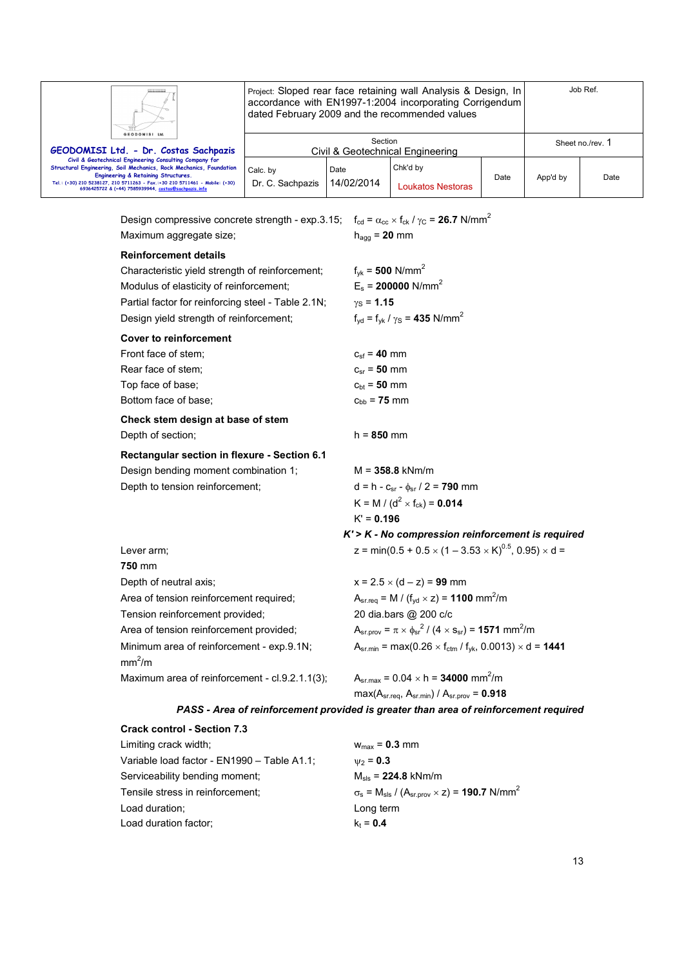

Project: Sloped rear face retaining wall Analysis & Design, In accordance with EN1997-1:2004 incorporating Corrigendum dated February 2009 and the recommended values

| GEODOMISI Ltd.                                                                                                                                                                                                                                                                                              |                              |                    |                                  |      |          |                  |
|-------------------------------------------------------------------------------------------------------------------------------------------------------------------------------------------------------------------------------------------------------------------------------------------------------------|------------------------------|--------------------|----------------------------------|------|----------|------------------|
| GEODOMISI Ltd. - Dr. Costas Sachpazis                                                                                                                                                                                                                                                                       |                              | Section            | Civil & Geotechnical Engineering |      |          | Sheet no./rev. 1 |
| Civil & Geotechnical Engineering Consulting Company for<br>Structural Engineering, Soil Mechanics, Rock Mechanics, Foundation<br>Engineering & Retaining Structures.<br>Tel.: (+30) 210 5238127, 210 5711263 - Fax.:+30 210 5711461 - Mobile: (+30)<br>6936425722 & (+44) 7585939944, costas@sachpazis.info | Calc. by<br>Dr. C. Sachpazis | Date<br>14/02/2014 | Chk'd by<br>Loukatos Nestoras    | Date | App'd by | Date             |

Design compressive concrete strength - exp.3.15;  $f_{cd} = \alpha_{cc} \times f_{ck}$  /  $\gamma_c = 26.7$  N/mm<sup>2</sup> Maximum aggregate size; hagg = 20 mm **Reinforcement details**  Characteristic yield strength of reinforcement;  $f_{yk} = 500$  N/mm<sup>2</sup> Modulus of elasticity of reinforcement; E<sub>s</sub> = 200000 N/mm<sup>2</sup> Partial factor for reinforcing steel - Table 2.1N;  $\gamma_S = 1.15$ Design yield strength of reinforcement;  $f_{vd} = f_{vk}/\gamma_s = 435$  N/mm<sup>2</sup> **Cover to reinforcement**  Front face of stem;  $C_{\rm sf} = 40$  mm Rear face of stem;  $c_{sr} = 50$  mm Top face of base;  $c_{bt} = 50$  mm Bottom face of base;  $c_{bb} = 75$  mm **Check stem design at base of stem**  Depth of section; h = 850 mm **Rectangular section in flexure - Section 6.1**  Design bending moment combination 1; M = 358.8 kNm/m Depth to tension reinforcement;  $d = h - c_{sr} - \phi_{sr} / 2 = 790$  mm  $K = M / (d^2 \times f_{ck}) = 0.014$ K' = **0.196** *K' > K - No compression reinforcement is required*  Lever arm;  $z = min(0.5 + 0.5 \times (1 - 3.53 \times K)^{0.5}, 0.95) \times d =$ **750** mm Depth of neutral axis;  $x = 2.5 \times (d - z) = 99$  mm Area of tension reinforcement required;  $A_{sr,req} = M / (f_{yd} \times z) = 1100$  mm<sup>2</sup>/m Tension reinforcement provided; 20 dia.bars @ 200 c/c Area of tension reinforcement provided;  $^{2}$  / (4  $\times$  s<sub>sr</sub>) = **1571** mm<sup>2</sup>/m Minimum area of reinforcement - exp.9.1N;  $A_{sr,min} = max(0.26 \times f_{ctm} / f_{yk}, 0.0013) \times d = 1441$  $mm<sup>2</sup>/m$ Maximum area of reinforcement - cl.9.2.1.1(3);  $A_{\rm sr, max}$  = 0.04  $\times$  h = **34000** mm<sup>2</sup>/m max(Asr.req, Asr.min) / Asr.prov = **0.918**

*PASS - Area of reinforcement provided is greater than area of reinforcement required* 

| <b>Crack control - Section 7.3</b>          |                                                                                                    |
|---------------------------------------------|----------------------------------------------------------------------------------------------------|
| Limiting crack width;                       | $W_{\text{max}} = 0.3$ mm                                                                          |
| Variable load factor - EN1990 - Table A1.1; | $W_2 = 0.3$                                                                                        |
| Serviceability bending moment;              | $M_{\rm{sls}} = 224.8$ kNm/m                                                                       |
| Tensile stress in reinforcement:            | $\sigma_s$ = M <sub>sls</sub> / (A <sub>sr.prov</sub> $\times$ z) = <b>190.7</b> N/mm <sup>2</sup> |
| Load duration;                              | Long term                                                                                          |
| Load duration factor:                       | $k_t = 0.4$                                                                                        |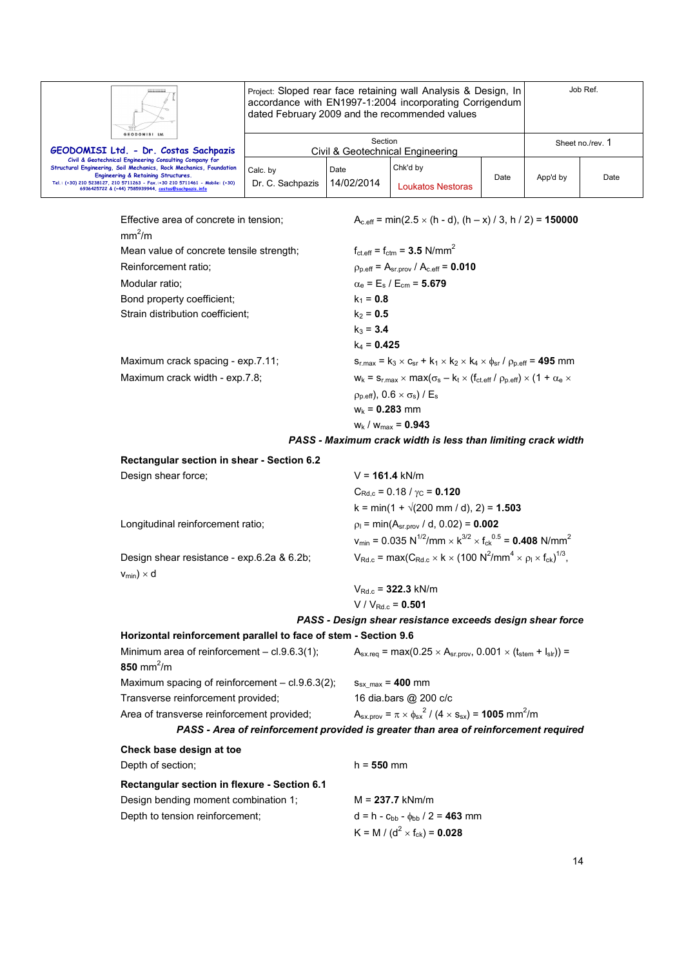|                                                                                                                                                                                                                                                                                                             |                                             |                    | Project: Sloped rear face retaining wall Analysis & Design, In<br>accordance with EN1997-1:2004 incorporating Corrigendum<br>dated February 2009 and the recommended values |      |          | Job Ref.         |
|-------------------------------------------------------------------------------------------------------------------------------------------------------------------------------------------------------------------------------------------------------------------------------------------------------------|---------------------------------------------|--------------------|-----------------------------------------------------------------------------------------------------------------------------------------------------------------------------|------|----------|------------------|
| GEODOMISI Ltd.<br>GEODOMISI Ltd. - Dr. Costas Sachpazis                                                                                                                                                                                                                                                     | Section<br>Civil & Geotechnical Engineering |                    |                                                                                                                                                                             |      |          | Sheet no./rev. 1 |
| Civil & Geotechnical Engineering Consulting Company for<br>Structural Engineering, Soil Mechanics, Rock Mechanics, Foundation<br>Engineering & Retaining Structures.<br>Tel.: (+30) 210 5238127, 210 5711263 - Fax.:+30 210 5711461 - Mobile: (+30)<br>6936425722 & (+44) 7585939944, costas@sachpazis.info | Calc. by<br>Dr. C. Sachpazis                | Date<br>14/02/2014 | Chk'd by<br>Loukatos Nestoras                                                                                                                                               | Date | App'd by | Date             |

 $mm<sup>2</sup>/m$ Mean value of concrete tensile stream Reinforcement ratio: Modular ratio; Bond property coefficient; Strain distribution coefficient;

Maximum crack spacing - exp.7 Maximum crack width - exp.7.8;

Effective area of concrete in tension;  $A_{c,eff} = min(2.5 \times (h - d), (h - x) / 3, h / 2) = 150000$ 

| strength;        | $f_{\text{ct.eff}} = f_{\text{ctm}} = 3.5 \text{ N/mm}^2$                                                     |
|------------------|---------------------------------------------------------------------------------------------------------------|
|                  | $\rho_{\text{p,eff}} = A_{\text{sr,prov}} / A_{\text{c,eff}} = 0.010$                                         |
|                  | $\alpha_e = E_s / E_{cm} = 5.679$                                                                             |
|                  | $k_1 = 0.8$                                                                                                   |
|                  | $k_2 = 0.5$                                                                                                   |
|                  | $k_3 = 3.4$                                                                                                   |
|                  | $k_4 = 0.425$                                                                                                 |
| $^{\prime}$ .11: | $S_{r, max} = k_3 \times C_{sr} + k_1 \times k_2 \times k_4 \times \phi_{sr}$ / $\rho_{p, eff} = 495$ mm      |
|                  | $w_k = s_{r, max} \times max(\sigma_s - k_t \times (f_{ct, eff} / \rho_{p, eff}) \times (1 + \alpha_e \times$ |
|                  | $\rho_{p.eff}$ ), 0.6 $\times \sigma_s$ ) / E <sub>s</sub>                                                    |
|                  | $W_k = 0.283$ mm                                                                                              |
|                  | $W_k$ / $W_{max}$ = 0.943                                                                                     |
|                  |                                                                                                               |

#### *PASS - Maximum crack width is less than limiting crack width*

| Rectangular section in shear - Section 6.2 |                                                                                                                                           |
|--------------------------------------------|-------------------------------------------------------------------------------------------------------------------------------------------|
| Design shear force;                        | $V = 161.4$ kN/m                                                                                                                          |
|                                            | $C_{\text{Rd} c} = 0.18 / \gamma_c = 0.120$                                                                                               |
|                                            | $k = min(1 + \sqrt{200 \text{ mm}/ d})$ , 2) = 1.503                                                                                      |
| Longitudinal reinforcement ratio:          | $p_1 = min(A_{s}, p_{\text{row}} / d, 0.02) = 0.002$                                                                                      |
|                                            | $v_{min}$ = 0.035 N <sup>1/2</sup> /mm $\times$ k <sup>3/2</sup> $\times$ f <sub>ck</sub> <sup>0.5</sup> = <b>0.408</b> N/mm <sup>2</sup> |
| Design shear resistance - exp.6.2a & 6.2b; | $V_{\text{Rd.c}} = \max(C_{\text{Rd.c}} \times k \times (100 \text{ N}^2/\text{mm}^4 \times \rho_1 \times f_{\text{ck}})^{1/3},$          |
| $v_{min}$ ) × d                            |                                                                                                                                           |
|                                            | $V_{\text{Rd.c}}$ = 322.3 kN/m                                                                                                            |
|                                            | $V/V_{Rd,c} = 0.501$                                                                                                                      |

*PASS - Design shear resistance exceeds design shear force*  **Horizontal reinforcement parallel to face of stem - Section 9.6**  Minimum area of reinforcement – cl.9.6.3(1);  $A_{\text{sx,req}} = \text{max}(0.25 \times A_{\text{sr,prov}}, 0.001 \times (t_{\text{stem}} + t_{\text{sr}})) =$ **850** mm<sup>2</sup>/m Maximum spacing of reinforcement  $-$  cl.9.6.3(2);  $s_{sx,max} = 400$  mm Transverse reinforcement provided; 16 dia.bars @ 200 c/c Area of transverse reinforcement provided;  $^{2}$  / (4  $\times$  s<sub>sx</sub>) = **1005** mm<sup>2</sup>/m *PASS - Area of reinforcement provided is greater than area of reinforcement required*  **Check base design at toe**  Depth of section; h = 550 mm

| <b>Rectangular section in flexure - Section 6.1</b> |                                                    |
|-----------------------------------------------------|----------------------------------------------------|
| Design bending moment combination 1:                | $M = 237.7$ kNm/m                                  |
| Depth to tension reinforcement;                     | $d = h - c_{hh} - \phi_{hh} / 2 = 463$ mm          |
|                                                     | K = M / ( $d^2$ × f <sub>ck</sub> ) = <b>0.028</b> |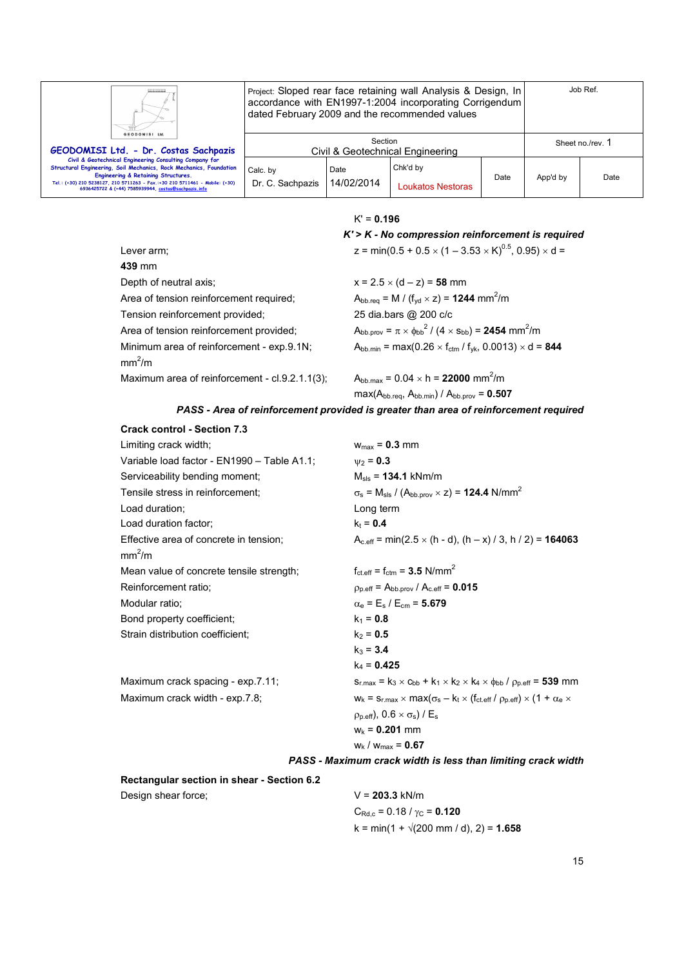

Project: Sloped rear face retaining wall Analysis & Design, In accordance with EN1997-1:2004 incorporating Corrigendum dated February 2009 and the recommended values

| GEODOMISI Ltd.<br>GEODOMISI Ltd. - Dr. Costas Sachpazis                                                                                                                                                                                                                                                     |                              | Section            | Civil & Geotechnical Engineering |      |          | Sheet no./rev. 1 |
|-------------------------------------------------------------------------------------------------------------------------------------------------------------------------------------------------------------------------------------------------------------------------------------------------------------|------------------------------|--------------------|----------------------------------|------|----------|------------------|
| Civil & Geotechnical Engineering Consulting Company for<br>Structural Engineering, Soil Mechanics, Rock Mechanics, Foundation<br>Engineering & Retaining Structures.<br>Tel.: (+30) 210 5238127, 210 5711263 - Fax.:+30 210 5711461 - Mobile: (+30)<br>6936425722 & (+44) 7585939944, costas@sachpazis.info | Calc. by<br>Dr. C. Sachpazis | Date<br>14/02/2014 | Chk'd by<br>Loukatos Nestoras    | Date | App'd by | Date             |

|  |  |  | 0.196 |  |
|--|--|--|-------|--|
|--|--|--|-------|--|

|                                                                 | $K'$ > $K$ - No compression reinforcement is required                                                                |
|-----------------------------------------------------------------|----------------------------------------------------------------------------------------------------------------------|
| Lever arm;                                                      | z = min(0.5 + 0.5 $\times$ (1 – 3.53 $\times$ K) <sup>0.5</sup> , 0.95) $\times$ d =                                 |
| 439 mm                                                          |                                                                                                                      |
| Depth of neutral axis:                                          | $x = 2.5 \times (d - z) = 58$ mm                                                                                     |
| Area of tension reinforcement required;                         | $A_{\text{bb}.\text{req}} = M / (f_{\text{yd}} \times z) = 1244 \text{ mm}^2/\text{m}$                               |
| Tension reinforcement provided;                                 | 25 dia.bars @ 200 c/c                                                                                                |
| Area of tension reinforcement provided;                         | $A_{\text{bb}.\text{prov}} = \pi \times_{\text{bb}^\circ}^2 / (4 \times s_{\text{bb}}) = 2454 \text{ mm}^2/\text{m}$ |
| Minimum area of reinforcement - exp.9.1N;<br>mm <sup>2</sup> /m | $A_{bb,min}$ = max(0.26 $\times$ f <sub>ctm</sub> / f <sub>vk</sub> , 0.0013) $\times$ d = <b>844</b>                |
| Maximum area of reinforcement - $cl.9.2.1.1(3)$ ;               | $A_{\text{bb,max}} = 0.04 \times h = 22000 \text{ mm}^2/m$                                                           |
|                                                                 | $max(A_{bb\cdot reg}, A_{bb\cdot min}) / A_{bb\cdot prov} = 0.507$                                                   |

#### *PASS - Area of reinforcement provided is greater than area of reinforcement required*

| <b>Crack control - Section 7.3</b>          |                                                                                                            |
|---------------------------------------------|------------------------------------------------------------------------------------------------------------|
| Limiting crack width;                       | $w_{max} = 0.3$ mm                                                                                         |
| Variable load factor - EN1990 - Table A1.1: | $W_2 = 0.3$                                                                                                |
| Serviceability bending moment;              | $M_{\rm sls} = 134.1 \text{ kNm/m}$                                                                        |
| Tensile stress in reinforcement:            | $\sigma_s$ = M <sub>sls</sub> / (A <sub>bb.prov</sub> $\times$ z) = <b>124.4</b> N/mm <sup>2</sup>         |
| Load duration:                              | Long term                                                                                                  |
| Load duration factor;                       | $k_t = 0.4$                                                                                                |
| Effective area of concrete in tension;      | $A_{c,eff}$ = min(2.5 $\times$ (h - d), (h – x) / 3, h / 2) = <b>164063</b>                                |
| mm <sup>2</sup> /m                          |                                                                                                            |
| Mean value of concrete tensile strength;    | $f_{\text{ct.eff}} = f_{\text{ctm}} = 3.5 \text{ N/mm}^2$                                                  |
| Reinforcement ratio;                        | $p_{p,eff} = A_{bb,prov} / A_{c,eff} = 0.015$                                                              |
| Modular ratio;                              | $\alpha_e = E_s / E_{cm} = 5.679$                                                                          |
| Bond property coefficient;                  | $k_1 = 0.8$                                                                                                |
| Strain distribution coefficient;            | $k_2 = 0.5$                                                                                                |
|                                             | $k_3 = 3.4$                                                                                                |
|                                             | $k_4$ = 0.425                                                                                              |
| Maximum crack spacing - exp.7.11;           | $S_{r,max}$ = $k_3 \times c_{bb}$ + $k_1 \times k_2 \times k_4 \times \phi_{bb}$ / $\rho_{p,eff}$ = 539 mm |
| Maximum crack width - exp.7.8;              | $w_k = s_{r,max} \times max(\sigma_s - k_t \times (f_{ct.eff} / \rho_{p.eff}) \times (1 + \alpha_e \times$ |
|                                             | $p_{p.eff}$ , 0.6 $\times$ $\sigma_s$ ) / E <sub>s</sub>                                                   |
|                                             | $W_k = 0.201$ mm                                                                                           |
|                                             | $W_k$ / $W_{max}$ = 0.67                                                                                   |

#### *PASS - Maximum crack width is less than limiting crack width*

**Rectangular section in shear - Section 6.2** 

Design shear force; V = **203.3** kN/m

 $C_{\text{Rd},c} = 0.18 / \gamma_C = 0.120$  $k = min(1 + \sqrt{200 \text{ mm}/ d})$ , 2) = **1.658**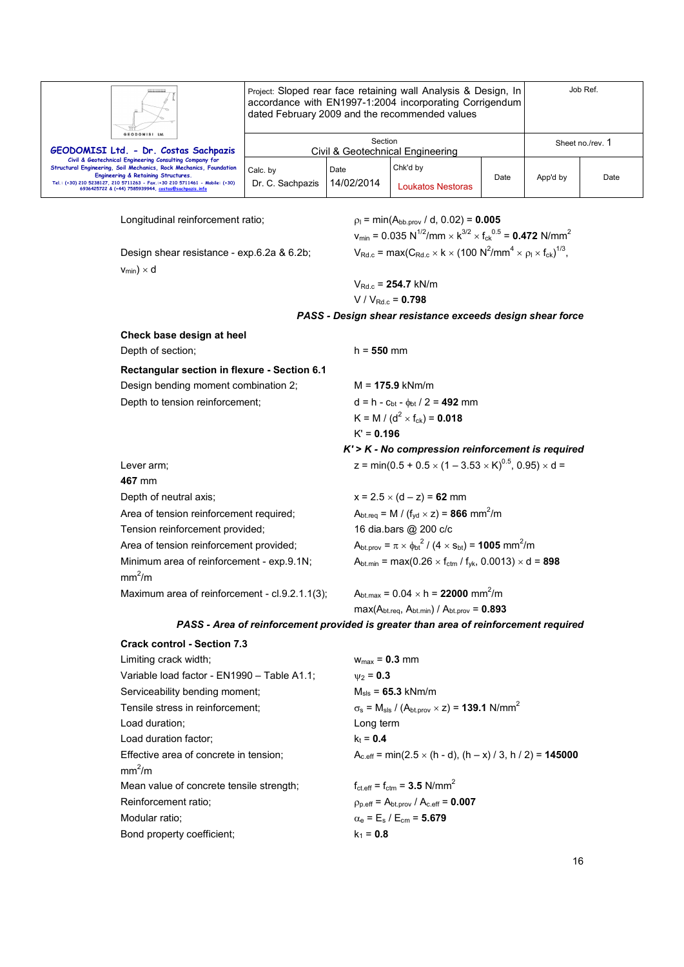|                                                                                                                                                                            | Project: Sloped rear face retaining wall Analysis & Design, In<br>accordance with EN1997-1:2004 incorporating Corrigendum<br>dated February 2009 and the recommended values | Job Ref.                                    |                                                                                                                                           |                                                            |                  |      |  |  |
|----------------------------------------------------------------------------------------------------------------------------------------------------------------------------|-----------------------------------------------------------------------------------------------------------------------------------------------------------------------------|---------------------------------------------|-------------------------------------------------------------------------------------------------------------------------------------------|------------------------------------------------------------|------------------|------|--|--|
| GEODOMISI Ltd<br>GEODOMISI Ltd. - Dr. Costas Sachpazis                                                                                                                     |                                                                                                                                                                             | Section<br>Civil & Geotechnical Engineering |                                                                                                                                           |                                                            | Sheet no./rev. 1 |      |  |  |
| Civil & Geotechnical Engineering Consulting Company for<br>Structural Engineering, Soil Mechanics, Rock Mechanics, Foundation                                              | Calc. by                                                                                                                                                                    | Date                                        | Chk'd by                                                                                                                                  |                                                            |                  |      |  |  |
| Engineering & Retaining Structures.<br>Tel.: (+30) 210 5238127, 210 5711263 - Fax.:+30 210 5711461 - Mobile: (+30)<br>6936425722 & (+44) 7585939944, costas@sachpazis.info | Dr. C. Sachpazis                                                                                                                                                            | 14/02/2014                                  | <b>Loukatos Nestoras</b>                                                                                                                  | Date                                                       | App'd by         | Date |  |  |
| Longitudinal reinforcement ratio;<br>$p_1 = min(A_{bb.0\text{row}} / d, 0.02) = 0.005$                                                                                     |                                                                                                                                                                             |                                             |                                                                                                                                           |                                                            |                  |      |  |  |
|                                                                                                                                                                            |                                                                                                                                                                             |                                             | $v_{min}$ = 0.035 N <sup>1/2</sup> /mm $\times$ k <sup>3/2</sup> $\times$ f <sub>ck</sub> <sup>0.5</sup> = <b>0.472</b> N/mm <sup>2</sup> |                                                            |                  |      |  |  |
| Design shear resistance - exp.6.2a & 6.2b;                                                                                                                                 |                                                                                                                                                                             |                                             | $V_{\text{Rd.c}} = \max(C_{\text{Rd.c}} \times k \times (100 \text{ N}^2/\text{mm}^4 \times \rho_1 \times f_{\text{ck}})^{1/3},$          |                                                            |                  |      |  |  |
| $v_{min}$ ) × d                                                                                                                                                            |                                                                                                                                                                             |                                             |                                                                                                                                           |                                                            |                  |      |  |  |
|                                                                                                                                                                            |                                                                                                                                                                             |                                             | $V_{Rd.c}$ = 254.7 kN/m                                                                                                                   |                                                            |                  |      |  |  |
|                                                                                                                                                                            |                                                                                                                                                                             |                                             | $V / V_{Rd,c} = 0.798$                                                                                                                    |                                                            |                  |      |  |  |
|                                                                                                                                                                            |                                                                                                                                                                             |                                             | PASS - Design shear resistance exceeds design shear force                                                                                 |                                                            |                  |      |  |  |
| Check base design at heel                                                                                                                                                  |                                                                                                                                                                             |                                             |                                                                                                                                           |                                                            |                  |      |  |  |
| Depth of section;                                                                                                                                                          |                                                                                                                                                                             | $h = 550$ mm                                |                                                                                                                                           |                                                            |                  |      |  |  |
| Rectangular section in flexure - Section 6.1                                                                                                                               |                                                                                                                                                                             |                                             |                                                                                                                                           |                                                            |                  |      |  |  |
| Design bending moment combination 2;                                                                                                                                       |                                                                                                                                                                             |                                             | $M = 175.9$ kNm/m                                                                                                                         |                                                            |                  |      |  |  |
| Depth to tension reinforcement;                                                                                                                                            |                                                                                                                                                                             |                                             | $d = h - c_{bt} - \phi_{bt} / 2 = 492$ mm                                                                                                 |                                                            |                  |      |  |  |
|                                                                                                                                                                            |                                                                                                                                                                             |                                             | K = M / ( $d^2$ × f <sub>ck</sub> ) = 0.018                                                                                               |                                                            |                  |      |  |  |
|                                                                                                                                                                            |                                                                                                                                                                             | $K' = 0.196$                                |                                                                                                                                           |                                                            |                  |      |  |  |
|                                                                                                                                                                            |                                                                                                                                                                             |                                             | $K > K$ - No compression reinforcement is required                                                                                        |                                                            |                  |      |  |  |
| Lever arm;<br>467 mm                                                                                                                                                       |                                                                                                                                                                             |                                             | z = min(0.5 + 0.5 $\times$ (1 – 3.53 $\times$ K) <sup>0.5</sup> , 0.95) $\times$ d =                                                      |                                                            |                  |      |  |  |
| Depth of neutral axis;                                                                                                                                                     |                                                                                                                                                                             |                                             | $x = 2.5 \times (d - z) = 62$ mm                                                                                                          |                                                            |                  |      |  |  |
| Area of tension reinforcement required;                                                                                                                                    |                                                                                                                                                                             |                                             | $A_{\text{btreq}} = M / (f_{\text{yd}} \times z) = 866$ mm <sup>2</sup> /m                                                                |                                                            |                  |      |  |  |
| Tension reinforcement provided;                                                                                                                                            |                                                                                                                                                                             |                                             | 16 dia.bars @ 200 c/c                                                                                                                     |                                                            |                  |      |  |  |
| Area of tension reinforcement provided;                                                                                                                                    |                                                                                                                                                                             |                                             | $A_{\text{bt.prov}} = \pi \times \phi_{\text{bt}}^2 / (4 \times s_{\text{bt}}) = 1005 \text{ mm}^2/\text{m}$                              |                                                            |                  |      |  |  |
| Minimum area of reinforcement - exp.9.1N;<br>mm <sup>2</sup> /m                                                                                                            |                                                                                                                                                                             |                                             | $A_{\text{bt.min}} = \max(0.26 \times f_{\text{ctm}} / f_{\text{yk}}, 0.0013) \times d = 898$                                             |                                                            |                  |      |  |  |
|                                                                                                                                                                            | Maximum area of reinforcement - cl.9.2.1.1(3);                                                                                                                              |                                             |                                                                                                                                           | $A_{\text{bt,max}} = 0.04 \times h = 22000 \text{ mm}^2/m$ |                  |      |  |  |
|                                                                                                                                                                            |                                                                                                                                                                             |                                             | $max(A_{bt.req}, A_{bt.min}) / A_{bt.prov} = 0.893$                                                                                       |                                                            |                  |      |  |  |
|                                                                                                                                                                            |                                                                                                                                                                             |                                             | PASS - Area of reinforcement provided is greater than area of reinforcement required                                                      |                                                            |                  |      |  |  |
| <b>Crack control - Section 7.3</b>                                                                                                                                         |                                                                                                                                                                             |                                             |                                                                                                                                           |                                                            |                  |      |  |  |
| Limiting crack width;                                                                                                                                                      |                                                                                                                                                                             | $w_{max}$ = 0.3 mm                          |                                                                                                                                           |                                                            |                  |      |  |  |

| Limiting Grach Wider,                       | V                                                                                                  |
|---------------------------------------------|----------------------------------------------------------------------------------------------------|
| Variable load factor - EN1990 - Table A1.1; | $W_2 = 0.3$                                                                                        |
| Serviceability bending moment;              | $M_{\rm{sls}} = 65.3 \text{ kNm/m}$                                                                |
| Tensile stress in reinforcement:            | $\sigma_s$ = M <sub>sls</sub> / (A <sub>bt.prov</sub> $\times$ z) = <b>139.1</b> N/mm <sup>2</sup> |
| Load duration:                              | Long term                                                                                          |
| Load duration factor:                       | $k_t = 0.4$                                                                                        |
| Effective area of concrete in tension;      | $A_{c,eff}$ = min(2.5 $\times$ (h - d), (h – x) / 3, h / 2) = <b>145000</b>                        |
| mm <sup>2</sup> /m                          |                                                                                                    |
| Mean value of concrete tensile strength;    | $f_{\text{ct.eff}} = f_{\text{ctm}} = 3.5 \text{ N/mm}^2$                                          |
| Reinforcement ratio;                        | $p_{p,eff} = A_{bt,prov} / A_{c,eff} = 0.007$                                                      |
| Modular ratio:                              | $\alpha_e = E_s / E_{cm} = 5.679$                                                                  |
| Bond property coefficient:                  | $k_1 = 0.8$                                                                                        |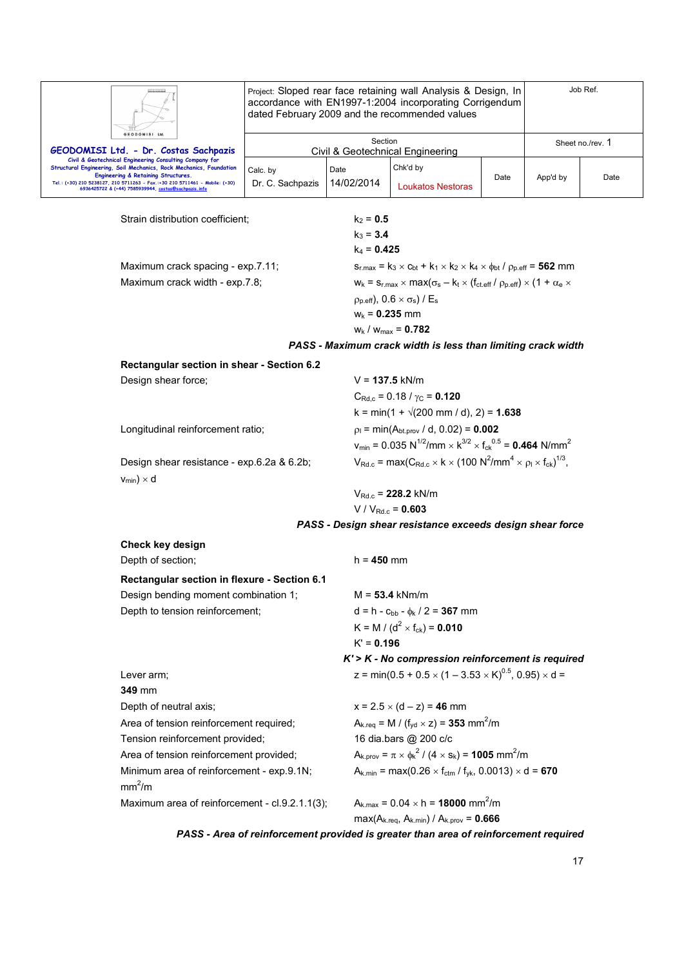|                                                                                                                                                                                                                                                  | Project: Sloped rear face retaining wall Analysis & Design, In<br>accordance with EN1997-1:2004 incorporating Corrigendum<br>dated February 2009 and the recommended values |                                             |                                                                                                                                                                                                    |                  | Job Ref. |      |  |  |
|--------------------------------------------------------------------------------------------------------------------------------------------------------------------------------------------------------------------------------------------------|-----------------------------------------------------------------------------------------------------------------------------------------------------------------------------|---------------------------------------------|----------------------------------------------------------------------------------------------------------------------------------------------------------------------------------------------------|------------------|----------|------|--|--|
| GEODOMISI Ltd.                                                                                                                                                                                                                                   | Section                                                                                                                                                                     |                                             |                                                                                                                                                                                                    | Sheet no./rev. 1 |          |      |  |  |
| GEODOMISI Ltd. - Dr. Costas Sachpazis<br>Civil & Geotechnical Engineering Consulting Company for                                                                                                                                                 | Civil & Geotechnical Engineering                                                                                                                                            |                                             |                                                                                                                                                                                                    |                  |          |      |  |  |
| Structural Engineering, Soil Mechanics, Rock Mechanics, Foundation<br>Engineering & Retaining Structures.<br>Tel.: (+30) 210 5238127, 210 5711263 - Fax.:+30 210 5711461 - Mobile: (+30)<br>6936425722 & (+44) 7585939944, costas@sachpazis.info | Calc. by<br>Dr. C. Sachpazis                                                                                                                                                | Date<br>14/02/2014                          | Chk'd by<br><b>Loukatos Nestoras</b>                                                                                                                                                               | Date             | App'd by | Date |  |  |
| Strain distribution coefficient;                                                                                                                                                                                                                 |                                                                                                                                                                             | $k_2 = 0.5$<br>$k_3 = 3.4$<br>$k_4 = 0.425$ |                                                                                                                                                                                                    |                  |          |      |  |  |
| Maximum crack spacing - exp.7.11;                                                                                                                                                                                                                |                                                                                                                                                                             |                                             | $S_{r, max} = k_3 \times c_{bt} + k_1 \times k_2 \times k_4 \times \phi_{bt}$ / $\rho_{p, eff} = 562$ mm                                                                                           |                  |          |      |  |  |
| Maximum crack width - exp.7.8;                                                                                                                                                                                                                   |                                                                                                                                                                             | $W_k = 0.235$ mm                            | $W_k = S_{r,max} \times max(\sigma_s - k_t \times (f_{ct.eff} / \rho_{p.eff}) \times (1 + \alpha_e \times$<br>$\rho_{p,eff}$ , 0.6 $\times \sigma_s$ ) / E <sub>s</sub><br>$w_k / w_{max} = 0.782$ |                  |          |      |  |  |
|                                                                                                                                                                                                                                                  |                                                                                                                                                                             |                                             | PASS - Maximum crack width is less than limiting crack width                                                                                                                                       |                  |          |      |  |  |
| Rectangular section in shear - Section 6.2                                                                                                                                                                                                       |                                                                                                                                                                             |                                             |                                                                                                                                                                                                    |                  |          |      |  |  |
| Design shear force;                                                                                                                                                                                                                              |                                                                                                                                                                             |                                             | $V = 137.5$ kN/m                                                                                                                                                                                   |                  |          |      |  |  |
|                                                                                                                                                                                                                                                  |                                                                                                                                                                             |                                             | $C_{\text{Rd.c}}$ = 0.18 / $\gamma_{\text{C}}$ = 0.120                                                                                                                                             |                  |          |      |  |  |
|                                                                                                                                                                                                                                                  |                                                                                                                                                                             |                                             | $k = min(1 + \sqrt{200 mm / d})$ , 2) = 1.638                                                                                                                                                      |                  |          |      |  |  |
| Longitudinal reinforcement ratio;                                                                                                                                                                                                                |                                                                                                                                                                             |                                             | $p_1 = min(A_{bt,prov} / d, 0.02) = 0.002$                                                                                                                                                         |                  |          |      |  |  |
|                                                                                                                                                                                                                                                  |                                                                                                                                                                             |                                             | $v_{\text{min}} = 0.035 \text{ N}^{1/2}/\text{mm} \times \text{K}^{3/2} \times \text{f}_{\text{ck}}^{0.5} = 0.464 \text{ N/mm}^2$                                                                  |                  |          |      |  |  |
| Design shear resistance - exp.6.2a & 6.2b;<br>$v_{min}$ ) × d                                                                                                                                                                                    |                                                                                                                                                                             |                                             | $V_{\text{Rd.c}} = \max(C_{\text{Rd.c}} \times k \times (100 \text{ N}^2/\text{mm}^4 \times \rho_1 \times f_{\text{ck}})^{1/3},$                                                                   |                  |          |      |  |  |
|                                                                                                                                                                                                                                                  |                                                                                                                                                                             |                                             | $V_{\text{Rd} c}$ = 228.2 kN/m                                                                                                                                                                     |                  |          |      |  |  |
|                                                                                                                                                                                                                                                  |                                                                                                                                                                             |                                             | $V/V_{Rd.c} = 0.603$                                                                                                                                                                               |                  |          |      |  |  |
|                                                                                                                                                                                                                                                  |                                                                                                                                                                             |                                             | PASS - Design shear resistance exceeds design shear force                                                                                                                                          |                  |          |      |  |  |
| Check key design                                                                                                                                                                                                                                 |                                                                                                                                                                             |                                             |                                                                                                                                                                                                    |                  |          |      |  |  |
| Depth of section;                                                                                                                                                                                                                                |                                                                                                                                                                             | $h = 450$ mm                                |                                                                                                                                                                                                    |                  |          |      |  |  |
| Rectangular section in flexure - Section 6.1                                                                                                                                                                                                     |                                                                                                                                                                             |                                             |                                                                                                                                                                                                    |                  |          |      |  |  |
| Design bending moment combination 1;                                                                                                                                                                                                             |                                                                                                                                                                             |                                             | $M = 53.4$ kNm/m                                                                                                                                                                                   |                  |          |      |  |  |
| Depth to tension reinforcement;                                                                                                                                                                                                                  |                                                                                                                                                                             |                                             | $d = h - c_{bb} - \phi_k / 2 = 367$ mm                                                                                                                                                             |                  |          |      |  |  |
|                                                                                                                                                                                                                                                  |                                                                                                                                                                             |                                             | K = M / ( $d^2$ × f <sub>ck</sub> ) = <b>0.010</b>                                                                                                                                                 |                  |          |      |  |  |
|                                                                                                                                                                                                                                                  |                                                                                                                                                                             | $K' = 0.196$                                |                                                                                                                                                                                                    |                  |          |      |  |  |
|                                                                                                                                                                                                                                                  |                                                                                                                                                                             |                                             | $K$ '> $K$ - No compression reinforcement is required                                                                                                                                              |                  |          |      |  |  |
| Lever arm;<br>349 mm                                                                                                                                                                                                                             |                                                                                                                                                                             |                                             | z = min(0.5 + 0.5 $\times$ (1 – 3.53 $\times$ K) <sup>0.5</sup> , 0.95) $\times$ d =                                                                                                               |                  |          |      |  |  |
| Depth of neutral axis;                                                                                                                                                                                                                           |                                                                                                                                                                             |                                             | $x = 2.5 \times (d - z) = 46$ mm                                                                                                                                                                   |                  |          |      |  |  |
| Area of tension reinforcement required;                                                                                                                                                                                                          |                                                                                                                                                                             |                                             | $A_{k,req} = M / (f_{yd} \times z) = 353$ mm <sup>2</sup> /m                                                                                                                                       |                  |          |      |  |  |
| Tension reinforcement provided;                                                                                                                                                                                                                  |                                                                                                                                                                             |                                             | 16 dia.bars @ 200 c/c                                                                                                                                                                              |                  |          |      |  |  |
| Area of tension reinforcement provided;                                                                                                                                                                                                          |                                                                                                                                                                             |                                             | $A_{k.prov} = \pi \times \phi_k^2 / (4 \times s_k) = 1005$ mm <sup>2</sup> /m                                                                                                                      |                  |          |      |  |  |
| Minimum area of reinforcement - exp.9.1N;<br>mm <sup>2</sup> /m                                                                                                                                                                                  |                                                                                                                                                                             |                                             | $A_{k,min}$ = max(0.26 $\times$ f <sub>ctm</sub> / f <sub>yk</sub> , 0.0013) $\times$ d = <b>670</b>                                                                                               |                  |          |      |  |  |
| Maximum area of reinforcement - cl.9.2.1.1(3);                                                                                                                                                                                                   |                                                                                                                                                                             |                                             | $A_{k, max} = 0.04 \times h = 18000$ mm <sup>2</sup> /m<br>$max(A_{k.read}, A_{k.min}) / A_{k.prov} = 0.666$                                                                                       |                  |          |      |  |  |
|                                                                                                                                                                                                                                                  |                                                                                                                                                                             |                                             | PASS - Area of reinforcement provided is greater than area of reinforcement required                                                                                                               |                  |          |      |  |  |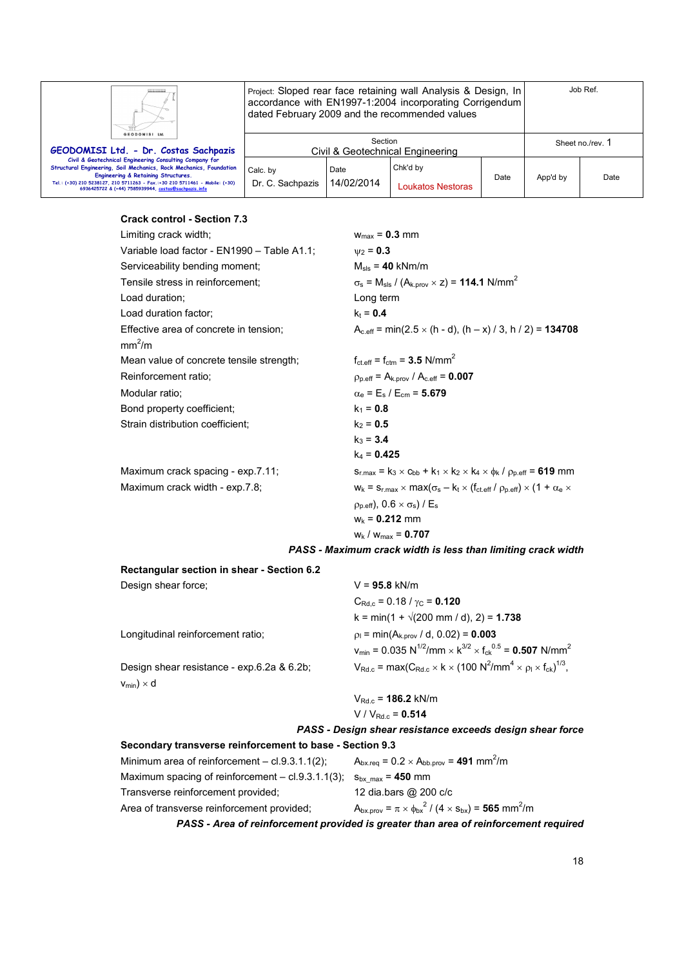|                                                                                                                                                                                                                                                                                                                        | Project: Sloped rear face retaining wall Analysis & Design, In<br>accordance with EN1997-1:2004 incorporating Corrigendum<br>dated February 2009 and the recommended values |                    |                               |                  | Job Ref. |      |
|------------------------------------------------------------------------------------------------------------------------------------------------------------------------------------------------------------------------------------------------------------------------------------------------------------------------|-----------------------------------------------------------------------------------------------------------------------------------------------------------------------------|--------------------|-------------------------------|------------------|----------|------|
| GEODOMISI Ltd.<br>GEODOMISI Ltd. - Dr. Costas Sachpazis                                                                                                                                                                                                                                                                | Section<br>Civil & Geotechnical Engineering                                                                                                                                 |                    |                               | Sheet no./rev. 1 |          |      |
| Civil & Geotechnical Engineering Consulting Company for<br>Structural Engineering, Soil Mechanics, Rock Mechanics, Foundation<br><b>Engineering &amp; Retaining Structures.</b><br>Tel.: (+30) 210 5238127, 210 5711263 - Fax.:+30 210 5711461 - Mobile: (+30)<br>6936425722 & (+44) 7585939944, costas@sachpazis.info | Calc. by<br>Dr. C. Sachpazis                                                                                                                                                | Date<br>14/02/2014 | Chk'd by<br>Loukatos Nestoras | Date             | App'd by | Date |

# **Crack control - Section 7.3**

| Limiting crack width;                                        | $w_{\text{max}} = 0.3$ mm                                                                                  |
|--------------------------------------------------------------|------------------------------------------------------------------------------------------------------------|
| Variable load factor - EN1990 - Table A1.1;                  | $v_2 = 0.3$                                                                                                |
| Serviceability bending moment;                               | $M_{\rm{sls}} = 40$ kNm/m                                                                                  |
| Tensile stress in reinforcement;                             | $\sigma_s$ = M <sub>sls</sub> / (A <sub>k.prov</sub> × z) = <b>114.1</b> N/mm <sup>2</sup>                 |
| Load duration;                                               | Long term                                                                                                  |
| Load duration factor;                                        | $k_t = 0.4$                                                                                                |
| Effective area of concrete in tension;<br>mm <sup>2</sup> /m | $A_{c,eff}$ = min(2.5 $\times$ (h - d), (h – x) / 3, h / 2) = <b>134708</b>                                |
| Mean value of concrete tensile strength;                     | $f_{\text{ct.eff}} = f_{\text{ctm}} = 3.5 \text{ N/mm}^2$                                                  |
| Reinforcement ratio;                                         | $p_{p.eff} = A_{k.prov} / A_{c.eff} = 0.007$                                                               |
| Modular ratio:                                               | $\alpha_{\rm e}$ = E <sub>s</sub> / E <sub>cm</sub> = 5.679                                                |
| Bond property coefficient;                                   | $k_1 = 0.8$                                                                                                |
| Strain distribution coefficient;                             | $k_2 = 0.5$                                                                                                |
|                                                              | $k_3 = 3.4$                                                                                                |
|                                                              | $k_4$ = 0.425                                                                                              |
| Maximum crack spacing - exp.7.11;                            | $s_{r,max} = k_3 \times c_{bb} + k_1 \times k_2 \times k_4 \times \phi_k / \rho_{p,eff} = 619$ mm          |
| Maximum crack width - exp.7.8;                               | $W_k = S_{r,max} \times max(\sigma_s - k_t \times (f_{ct,eff} / \rho_{p,eff}) \times (1 + \alpha_e \times$ |
|                                                              | $(\rho_{p.eff})$ , 0.6 $\times$ $\sigma_s$ ) / E <sub>s</sub>                                              |
|                                                              | $W_k = 0.212$ mm                                                                                           |

 $w_k / w_{max} = 0.707$ 

*PASS - Maximum crack width is less than limiting crack width* 

| Rectangular section in shear - Section 6.2               |                                                                                                                                   |
|----------------------------------------------------------|-----------------------------------------------------------------------------------------------------------------------------------|
| Design shear force;                                      | $V = 95.8$ kN/m                                                                                                                   |
|                                                          | $C_{\text{Rd} c} = 0.18 / \gamma_C = 0.120$                                                                                       |
|                                                          | $k = min(1 + \sqrt{200 mm / d})$ , 2) = 1.738                                                                                     |
| Longitudinal reinforcement ratio:                        | $p_1 = min(A_{k, \text{prov}} / d, 0.02) = 0.003$                                                                                 |
|                                                          | $v_{\text{min}} = 0.035 \text{ N}^{1/2}/\text{mm} \times \text{K}^{3/2} \times \text{f}_{\text{ck}}^{0.5} = 0.507 \text{ N/mm}^2$ |
| Design shear resistance - exp.6.2a & 6.2b;               | $V_{\text{Rd.c}} = \max(C_{\text{Rd.c}} \times k \times (100 \text{ N}^2/\text{mm}^4 \times \rho_1 \times f_{\text{ck}})^{1/3},$  |
| $V_{min}$ ) × d                                          |                                                                                                                                   |
|                                                          | $V_{\text{Rd},c}$ = 186.2 kN/m                                                                                                    |
|                                                          | $V/V_{Rdc} = 0.514$                                                                                                               |
|                                                          | PASS - Design shear resistance exceeds design shear force                                                                         |
| Secondary transverse reinforcement to base - Section 9.3 |                                                                                                                                   |

| Minimum area of reinforcement $-$ cl.9.3.1.1(2);    | $A_{bx,req} = 0.2 \times A_{bb,prov} = 491$ mm <sup>2</sup> /m                      |
|-----------------------------------------------------|-------------------------------------------------------------------------------------|
| Maximum spacing of reinforcement $-$ cl.9.3.1.1(3); | $S_{\text{bx max}}$ = 450 mm                                                        |
| Transverse reinforcement provided;                  | 12 dia.bars @ 200 c/c                                                               |
| Area of transverse reinforcement provided;          | $A_{bx,prov} = \pi \times \phi_{bx}^2 / (4 \times s_{bx}) = 565$ mm <sup>2</sup> /m |
|                                                     |                                                                                     |

*PASS - Area of reinforcement provided is greater than area of reinforcement required*